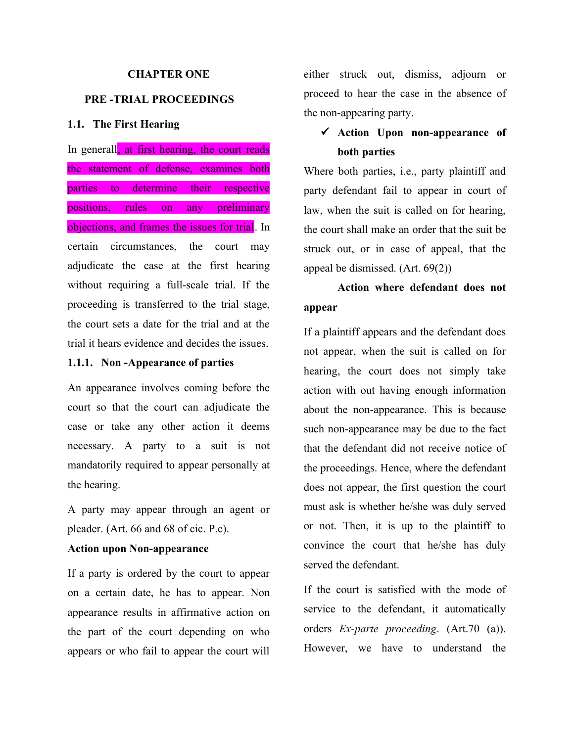## **CHAPTER ONE**

# **PRE -TRIAL PROCEEDINGS**

# **1.1. The First Hearing**

In generall, at first hearing, the court reads the statement of defense, examines both parties to determine their respective positions, rules on any preliminary objections, and frames the issues for trial. In certain circumstances, the court may adjudicate the case at the first hearing without requiring a full-scale trial. If the proceeding is transferred to the trial stage, the court sets a date for the trial and at the trial it hears evidence and decides the issues.

## **1.1.1. Non -Appearance of parties**

An appearance involves coming before the court so that the court can adjudicate the case or take any other action it deems necessary. A party to a suit is not mandatorily required to appear personally at the hearing.

A party may appear through an agent or pleader. (Art. 66 and 68 of cic. P.c).

# **Action upon Non-appearance**

If a party is ordered by the court to appear on a certain date, he has to appear. Non appearance results in affirmative action on the part of the court depending on who appears or who fail to appear the court will

either struck out, dismiss, adjourn or proceed to hear the case in the absence of the non-appearing party.

# **Action Upon non-appearance of both parties**

Where both parties, i.e., party plaintiff and party defendant fail to appear in court of law, when the suit is called on for hearing, the court shall make an order that the suit be struck out, or in case of appeal, that the appeal be dismissed. (Art. 69(2))

# **Action where defendant does not appear**

If a plaintiff appears and the defendant does not appear, when the suit is called on for hearing, the court does not simply take action with out having enough information about the non-appearance. This is because such non-appearance may be due to the fact that the defendant did not receive notice of the proceedings. Hence, where the defendant does not appear, the first question the court must ask is whether he/she was duly served or not. Then, it is up to the plaintiff to convince the court that he/she has duly served the defendant.

If the court is satisfied with the mode of service to the defendant, it automatically orders *Ex-parte proceeding*. (Art.70 (a)). However, we have to understand the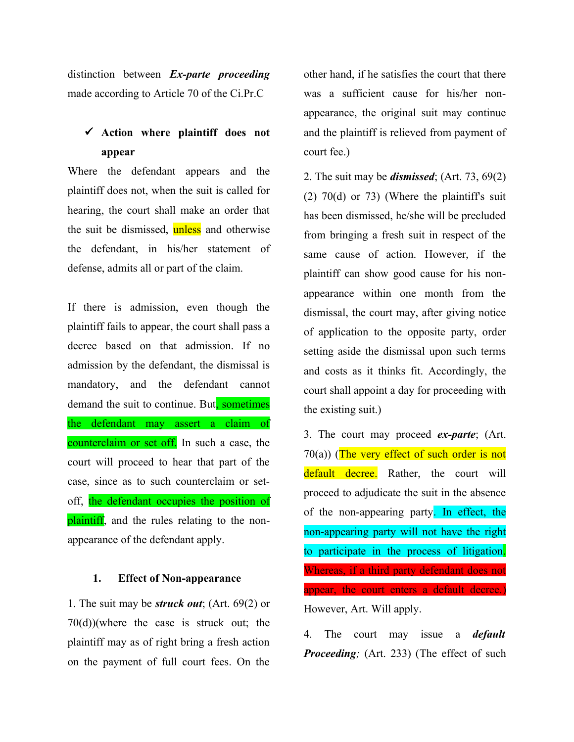distinction between *Ex-parte proceeding* made according to Article 70 of the Ci.Pr.C

# **Action where plaintiff does not appear**

Where the defendant appears and the plaintiff does not, when the suit is called for hearing, the court shall make an order that the suit be dismissed, unless and otherwise the defendant, in his/her statement of defense, admits all or part of the claim.

If there is admission, even though the plaintiff fails to appear, the court shall pass a decree based on that admission. If no admission by the defendant, the dismissal is mandatory, and the defendant cannot demand the suit to continue. But, sometimes the defendant may assert a claim of counterclaim or set off. In such a case, the court will proceed to hear that part of the case, since as to such counterclaim or setoff, the defendant occupies the position of plaintiff, and the rules relating to the nonappearance of the defendant apply.

### **1. Effect of Non-appearance**

1. The suit may be *struck out*; (Art. 69(2) or 70(d))(where the case is struck out; the plaintiff may as of right bring a fresh action on the payment of full court fees. On the

other hand, if he satisfies the court that there was a sufficient cause for his/her nonappearance, the original suit may continue and the plaintiff is relieved from payment of court fee.)

2. The suit may be *dismissed*; (Art. 73, 69(2) (2) 70(d) or 73) (Where the plaintiff's suit has been dismissed, he/she will be precluded from bringing a fresh suit in respect of the same cause of action. However, if the plaintiff can show good cause for his nonappearance within one month from the dismissal, the court may, after giving notice of application to the opposite party, order setting aside the dismissal upon such terms and costs as it thinks fit. Accordingly, the court shall appoint a day for proceeding with the existing suit.)

3. The court may proceed *ex-parte*; (Art.  $70(a)$ ) (The very effect of such order is not default decree. Rather, the court will proceed to adjudicate the suit in the absence of the non-appearing party. In effect, the non-appearing party will not have the right to participate in the process of litigation. Whereas, if a third party defendant does not appear, the court enters a default decree.) However, Art. Will apply.

4. The court may issue a *default Proceeding;* (Art. 233) (The effect of such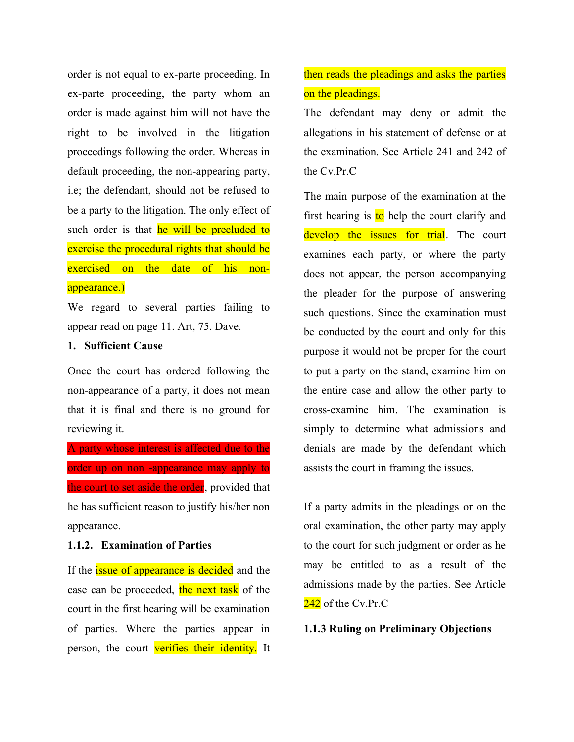order is not equal to ex-parte proceeding. In ex-parte proceeding, the party whom an order is made against him will not have the right to be involved in the litigation proceedings following the order. Whereas in default proceeding, the non-appearing party, i.e; the defendant, should not be refused to be a party to the litigation. The only effect of such order is that he will be precluded to exercise the procedural rights that should be exercised on the date of his nonappearance.)

We regard to several parties failing to appear read on page 11. Art, 75. Dave.

# **1. Sufficient Cause**

Once the court has ordered following the non-appearance of a party, it does not mean that it is final and there is no ground for reviewing it.

A party whose interest is affected due to the order up on non -appearance may apply to the court to set aside the order, provided that he has sufficient reason to justify his/her non appearance.

## **1.1.2. Examination of Parties**

If the *issue* of appearance is decided and the case can be proceeded, the next task of the court in the first hearing will be examination of parties. Where the parties appear in person, the court verifies their identity. It

# then reads the pleadings and asks the parties on the pleadings.

The defendant may deny or admit the allegations in his statement of defense or at the examination. See Article 241 and 242 of the Cv.Pr.C

The main purpose of the examination at the first hearing is to help the court clarify and develop the issues for trial. The court examines each party, or where the party does not appear, the person accompanying the pleader for the purpose of answering such questions. Since the examination must be conducted by the court and only for this purpose it would not be proper for the court to put a party on the stand, examine him on the entire case and allow the other party to cross-examine him. The examination is simply to determine what admissions and denials are made by the defendant which assists the court in framing the issues.

If a party admits in the pleadings or on the oral examination, the other party may apply to the court for such judgment or order as he may be entitled to as a result of the admissions made by the parties. See Article  $242$  of the Cv.Pr.C

### **1.1.3 Ruling on Preliminary Objections**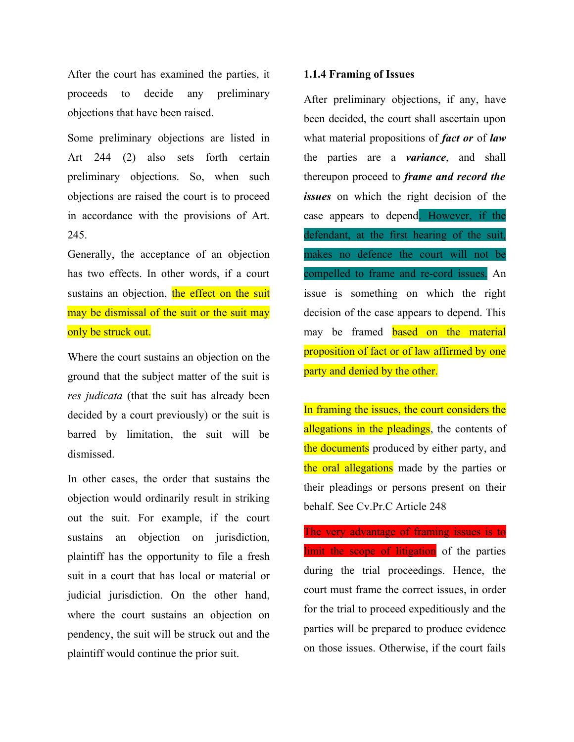After the court has examined the parties, it proceeds to decide any preliminary objections that have been raised.

Some preliminary objections are listed in Art 244 (2) also sets forth certain preliminary objections. So, when such objections are raised the court is to proceed in accordance with the provisions of Art. 245.

Generally, the acceptance of an objection has two effects. In other words, if a court sustains an objection, the effect on the suit may be dismissal of the suit or the suit may only be struck out.

Where the court sustains an objection on the ground that the subject matter of the suit is *res judicata* (that the suit has already been decided by a court previously) or the suit is barred by limitation, the suit will be dismissed.

In other cases, the order that sustains the objection would ordinarily result in striking out the suit. For example, if the court sustains an objection on jurisdiction, plaintiff has the opportunity to file a fresh suit in a court that has local or material or judicial jurisdiction. On the other hand, where the court sustains an objection on pendency, the suit will be struck out and the plaintiff would continue the prior suit.

#### **1.1.4 Framing of Issues**

After preliminary objections, if any, have been decided, the court shall ascertain upon what material propositions of *fact or* of *law* the parties are a *variance*, and shall thereupon proceed to *frame and record the issues* on which the right decision of the case appears to depend. However, if the defendant, at the first hearing of the suit, makes no defence the court will not be compelled to frame and re-cord issues. An issue is something on which the right decision of the case appears to depend. This may be framed **based on the material** proposition of fact or of law affirmed by one party and denied by the other.

In framing the issues, the court considers the allegations in the pleadings, the contents of the documents produced by either party, and the oral allegations made by the parties or their pleadings or persons present on their behalf. See Cv.Pr.C Article 248

The very advantage of framing issues is to limit the scope of litigation of the parties during the trial proceedings. Hence, the court must frame the correct issues, in order for the trial to proceed expeditiously and the parties will be prepared to produce evidence on those issues. Otherwise, if the court fails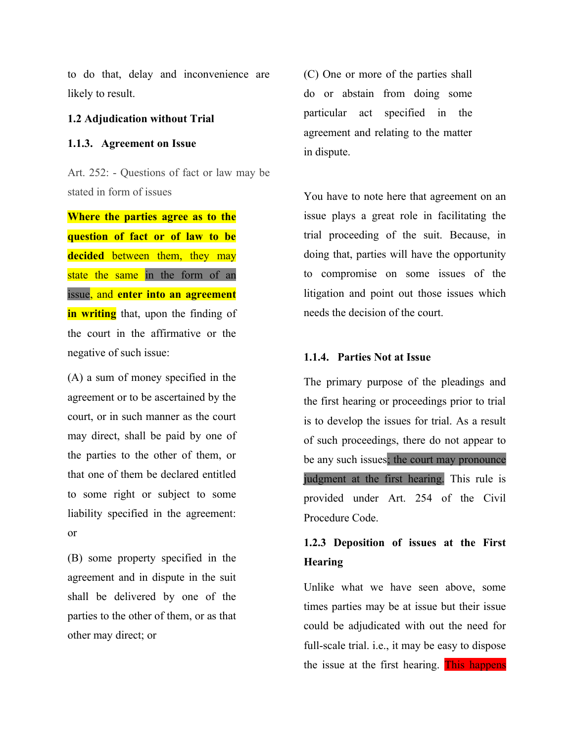to do that, delay and inconvenience are likely to result.

### **1.2 Adjudication without Trial**

## **1.1.3. Agreement on Issue**

Art. 252: - Questions of fact or law may be stated in form of issues

**Where the parties agree as to the question of fact or of law to be decided** between them, they may state the same in the form of an issue, and **enter into an agreement in writing** that, upon the finding of the court in the affirmative or the negative of such issue:

(A) a sum of money specified in the agreement or to be ascertained by the court, or in such manner as the court may direct, shall be paid by one of the parties to the other of them, or that one of them be declared entitled to some right or subject to some liability specified in the agreement: or

(B) some property specified in the agreement and in dispute in the suit shall be delivered by one of the parties to the other of them, or as that other may direct; or

(C) One or more of the parties shall do or abstain from doing some particular act specified in the agreement and relating to the matter in dispute.

You have to note here that agreement on an issue plays a great role in facilitating the trial proceeding of the suit. Because, in doing that, parties will have the opportunity to compromise on some issues of the litigation and point out those issues which needs the decision of the court.

#### **1.1.4. Parties Not at Issue**

The primary purpose of the pleadings and the first hearing or proceedings prior to trial is to develop the issues for trial. As a result of such proceedings, there do not appear to be any such issues; the court may pronounce judgment at the first hearing. This rule is provided under Art. 254 of the Civil Procedure Code.

# **1.2.3 Deposition of issues at the First Hearing**

Unlike what we have seen above, some times parties may be at issue but their issue could be adjudicated with out the need for full-scale trial. i.e., it may be easy to dispose the issue at the first hearing. This happens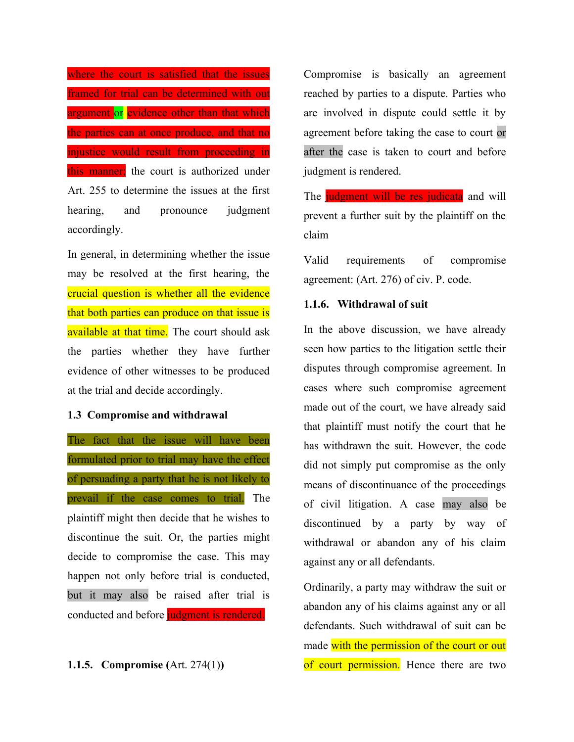where the court is satisfied that the issues framed for trial can be determined with out argument or evidence other than that which the parties can at once produce, and that no injustice would result from proceeding in this manner; the court is authorized under Art. 255 to determine the issues at the first hearing, and pronounce judgment accordingly.

In general, in determining whether the issue may be resolved at the first hearing, the crucial question is whether all the evidence that both parties can produce on that issue is available at that time. The court should ask the parties whether they have further evidence of other witnesses to be produced at the trial and decide accordingly.

### **1.3 Compromise and withdrawal**

The fact that the issue will have been formulated prior to trial may have the effect of persuading a party that he is not likely to prevail if the case comes to trial. The plaintiff might then decide that he wishes to discontinue the suit. Or, the parties might decide to compromise the case. This may happen not only before trial is conducted, but it may also be raised after trial is conducted and before judgment is rendered.

**1.1.5. Compromise (**Art. 274(1)**)**

Compromise is basically an agreement reached by parties to a dispute. Parties who are involved in dispute could settle it by agreement before taking the case to court or after the case is taken to court and before judgment is rendered.

The judgment will be res judicata and will prevent a further suit by the plaintiff on the claim

Valid requirements of compromise agreement: (Art. 276) of civ. P. code.

#### **1.1.6. Withdrawal of suit**

In the above discussion, we have already seen how parties to the litigation settle their disputes through compromise agreement. In cases where such compromise agreement made out of the court, we have already said that plaintiff must notify the court that he has withdrawn the suit. However, the code did not simply put compromise as the only means of discontinuance of the proceedings of civil litigation. A case may also be discontinued by a party by way of withdrawal or abandon any of his claim against any or all defendants.

Ordinarily, a party may withdraw the suit or abandon any of his claims against any or all defendants. Such withdrawal of suit can be made with the permission of the court or out of court permission. Hence there are two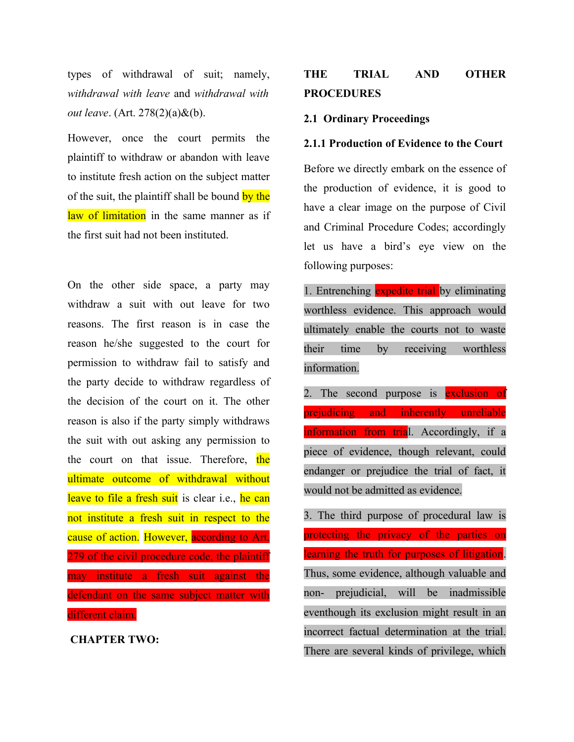types of withdrawal of suit; namely, *withdrawal with leave* and *withdrawal with out leave*. (Art. 278(2)(a)&(b).

However, once the court permits the plaintiff to withdraw or abandon with leave to institute fresh action on the subject matter of the suit, the plaintiff shall be bound by the law of limitation in the same manner as if the first suit had not been instituted.

On the other side space, a party may withdraw a suit with out leave for two reasons. The first reason is in case the reason he/she suggested to the court for permission to withdraw fail to satisfy and the party decide to withdraw regardless of the decision of the court on it. The other reason is also if the party simply withdraws the suit with out asking any permission to the court on that issue. Therefore, the ultimate outcome of withdrawal without leave to file a fresh suit is clear i.e., he can not institute a fresh suit in respect to the cause of action. However, according to Art. 279 of the civil procedure code, the plaintiff may institute a fresh suit against the defendant on the same subject matter with different claim.

 **CHAPTER TWO:**

# **THE TRIAL AND OTHER PROCEDURES**

## **2.1 Ordinary Proceedings**

#### **2.1.1 Production of Evidence to the Court**

Before we directly embark on the essence of the production of evidence, it is good to have a clear image on the purpose of Civil and Criminal Procedure Codes; accordingly let us have a bird's eye view on the following purposes:

1. Entrenching expedite trial by eliminating worthless evidence. This approach would ultimately enable the courts not to waste their time by receiving worthless information.

2. The second purpose is exclusion of prejudicing and inherently unreliable information from trial. Accordingly, if a piece of evidence, though relevant, could endanger or prejudice the trial of fact, it would not be admitted as evidence.

3. The third purpose of procedural law is protecting the privacy of the parties on learning the truth for purposes of litigation. Thus, some evidence, although valuable and non- prejudicial, will be inadmissible eventhough its exclusion might result in an incorrect factual determination at the trial. There are several kinds of privilege, which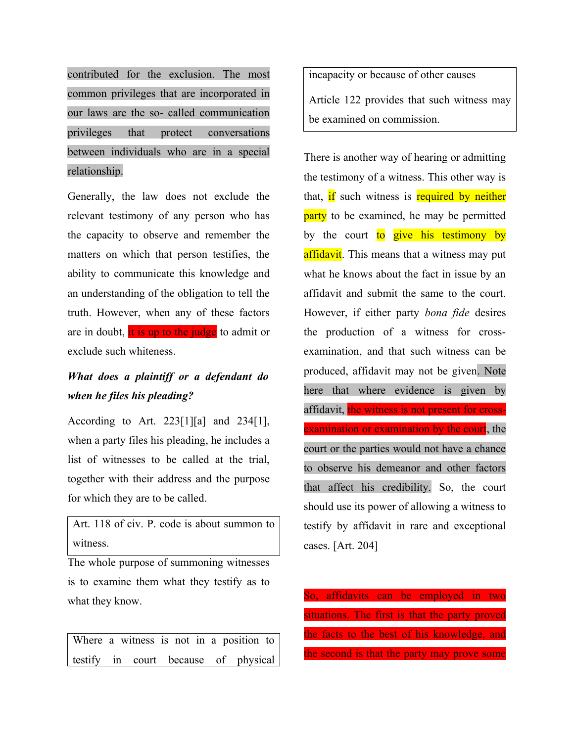contributed for the exclusion. The most common privileges that are incorporated in our laws are the so- called communication privileges that protect conversations between individuals who are in a special relationship.

Generally, the law does not exclude the relevant testimony of any person who has the capacity to observe and remember the matters on which that person testifies, the ability to communicate this knowledge and an understanding of the obligation to tell the truth. However, when any of these factors are in doubt, it is up to the judge to admit or exclude such whiteness.

# *What does a plaintiff or a defendant do when he files his pleading?*

According to Art. 223[1][a] and 234[1], when a party files his pleading, he includes a list of witnesses to be called at the trial, together with their address and the purpose for which they are to be called.

Art. 118 of civ. P. code is about summon to witness.

The whole purpose of summoning witnesses is to examine them what they testify as to what they know.

Where a witness is not in a position to testify in court because of physical

incapacity or because of other causes Article 122 provides that such witness may be examined on commission.

There is another way of hearing or admitting the testimony of a witness. This other way is that, if such witness is required by neither party to be examined, he may be permitted by the court to give his testimony by affidavit. This means that a witness may put what he knows about the fact in issue by an affidavit and submit the same to the court. However, if either party *bona fide* desires the production of a witness for crossexamination, and that such witness can be produced, affidavit may not be given. Note here that where evidence is given by affidavit, the witness is not present for crossexamination or examination by the court, the court or the parties would not have a chance to observe his demeanor and other factors that affect his credibility. So, the court should use its power of allowing a witness to testify by affidavit in rare and exceptional cases. [Art. 204]

So, affidavits can be employed in two situations. The first is that the party proved the facts to the best of his knowledge, and the second is that the party may prove some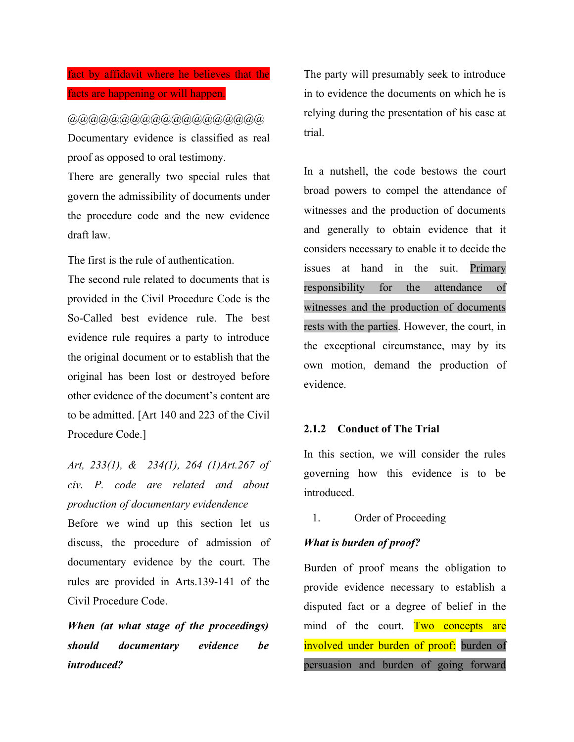# fact by affidavit where he believes that the facts are happening or will happen.

@@@@@@@@@@@@@@@@@@@ Documentary evidence is classified as real proof as opposed to oral testimony.

There are generally two special rules that govern the admissibility of documents under the procedure code and the new evidence draft law.

The first is the rule of authentication.

The second rule related to documents that is provided in the Civil Procedure Code is the So-Called best evidence rule. The best evidence rule requires a party to introduce the original document or to establish that the original has been lost or destroyed before other evidence of the document's content are to be admitted. [Art 140 and 223 of the Civil Procedure Code.]

*Art, 233(1), & 234(1), 264 (1)Art.267 of civ. P. code are related and about production of documentary evidendence*

Before we wind up this section let us discuss, the procedure of admission of documentary evidence by the court. The rules are provided in Arts.139-141 of the Civil Procedure Code.

*When (at what stage of the proceedings) should documentary evidence be introduced?*

The party will presumably seek to introduce in to evidence the documents on which he is relying during the presentation of his case at trial.

In a nutshell, the code bestows the court broad powers to compel the attendance of witnesses and the production of documents and generally to obtain evidence that it considers necessary to enable it to decide the issues at hand in the suit. Primary responsibility for the attendance of witnesses and the production of documents rests with the parties. However, the court, in the exceptional circumstance, may by its own motion, demand the production of evidence.

## **2.1.2 Conduct of The Trial**

In this section, we will consider the rules governing how this evidence is to be introduced.

1. Order of Proceeding

# *What is burden of proof?*

Burden of proof means the obligation to provide evidence necessary to establish a disputed fact or a degree of belief in the mind of the court. Two concepts are involved under burden of proof: burden of persuasion and burden of going forward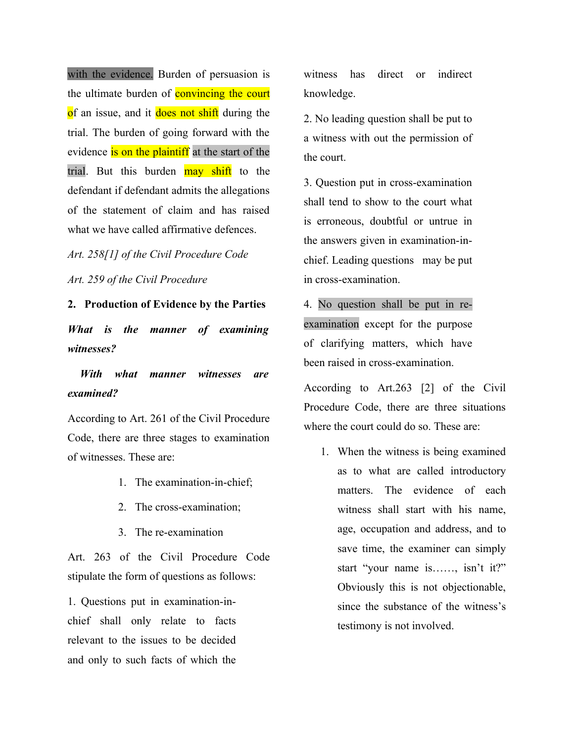with the evidence. Burden of persuasion is the ultimate burden of **convincing the court** of an issue, and it does not shift during the trial. The burden of going forward with the evidence is on the plaintiff at the start of the trial. But this burden may shift to the defendant if defendant admits the allegations of the statement of claim and has raised what we have called affirmative defences.

*Art. 258[1] of the Civil Procedure Code*

*Art. 259 of the Civil Procedure*

**2. Production of Evidence by the Parties**

*What is the manner of examining witnesses?*

 *With what manner witnesses are examined?* 

According to Art. 261 of the Civil Procedure Code, there are three stages to examination of witnesses. These are:

- 1. The examination-in-chief;
- 2. The cross-examination;
- 3. The re-examination

Art. 263 of the Civil Procedure Code stipulate the form of questions as follows:

1. Questions put in examination-inchief shall only relate to facts relevant to the issues to be decided and only to such facts of which the witness has direct or indirect knowledge.

2. No leading question shall be put to a witness with out the permission of the court.

3. Question put in cross-examination shall tend to show to the court what is erroneous, doubtful or untrue in the answers given in examination-inchief. Leading questions may be put in cross-examination.

4. No question shall be put in reexamination except for the purpose of clarifying matters, which have been raised in cross-examination.

According to Art.263 [2] of the Civil Procedure Code, there are three situations where the court could do so. These are:

1. When the witness is being examined as to what are called introductory matters. The evidence of each witness shall start with his name, age, occupation and address, and to save time, the examiner can simply start "your name is……, isn't it?" Obviously this is not objectionable, since the substance of the witness's testimony is not involved.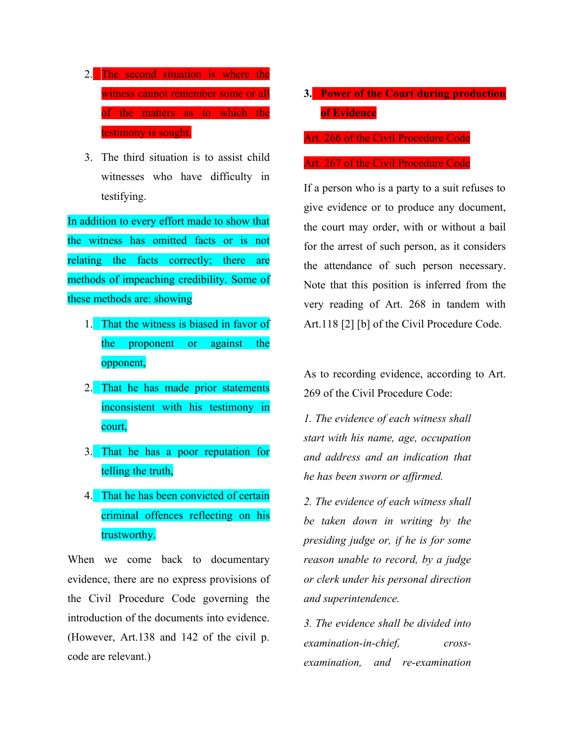- 2. The second situation is where the witness cannot remember some or all of the matters as to which the testimony is sought.
- 3. The third situation is to assist child witnesses who have difficulty in testifying.

In addition to every effort made to show that the witness has omitted facts or is not relating the facts correctly; there are methods of impeaching credibility. Some of these methods are: showing

- 1. That the witness is biased in favor of the proponent or against the opponent,
- 2. That he has made prior statements inconsistent with his testimony in court,
- 3. That he has a poor reputation for telling the truth,
- 4. That he has been convicted of certain criminal offences reflecting on his trustworthy.

When we come back to documentary evidence, there are no express provisions of the Civil Procedure Code governing the introduction of the documents into evidence. (However, Art.138 and 142 of the civil p. code are relevant.)

# **3. Power of the Court during production of Evidence**

Art. 266 of the Civil Procedure Code

#### Art. 267 of the Civil Procedure Code

If a person who is a party to a suit refuses to give evidence or to produce any document, the court may order, with or without a bail for the arrest of such person, as it considers the attendance of such person necessary. Note that this position is inferred from the very reading of Art. 268 in tandem with Art.118 [2] [b] of the Civil Procedure Code.

As to recording evidence, according to Art. 269 of the Civil Procedure Code:

*1. The evidence of each witness shall start with his name, age, occupation and address and an indication that he has been sworn or affirmed.*

*2. The evidence of each witness shall be taken down in writing by the presiding judge or, if he is for some reason unable to record, by a judge or clerk under his personal direction and superintendence.*

*3. The evidence shall be divided into examination-in-chief, crossexamination, and re-examination*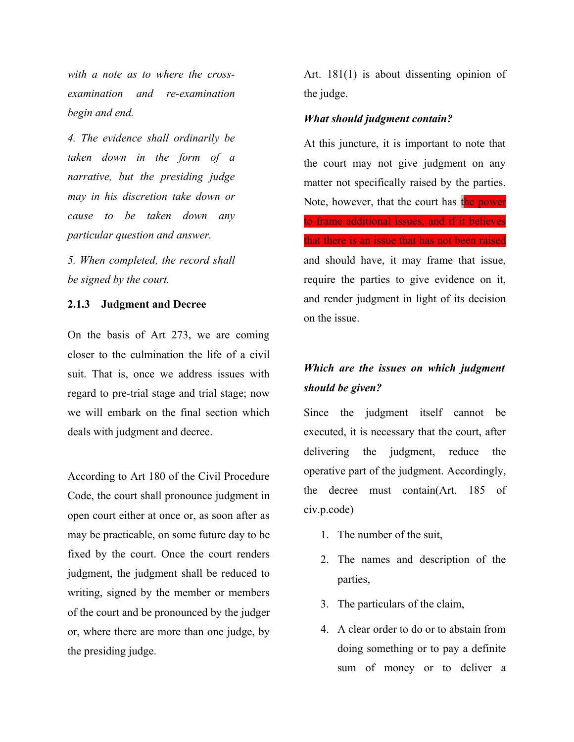*with a note as to where the crossexamination and re-examination begin and end.*

*4. The evidence shall ordinarily be taken down in the form of a narrative, but the presiding judge may in his discretion take down or cause to be taken down any particular question and answer.*

*5. When completed, the record shall be signed by the court.* 

### **2.1.3 Judgment and Decree**

On the basis of Art 273, we are coming closer to the culmination the life of a civil suit. That is, once we address issues with regard to pre-trial stage and trial stage; now we will embark on the final section which deals with judgment and decree.

According to Art 180 of the Civil Procedure Code, the court shall pronounce judgment in open court either at once or, as soon after as may be practicable, on some future day to be fixed by the court. Once the court renders judgment, the judgment shall be reduced to writing, signed by the member or members of the court and be pronounced by the judger or, where there are more than one judge, by the presiding judge.

Art. 181(1) is about dissenting opinion of the judge.

### *What should judgment contain?*

At this juncture, it is important to note that the court may not give judgment on any matter not specifically raised by the parties. Note, however, that the court has the power to frame additional issues, and if it believes that there is an issue that has not been raised and should have, it may frame that issue, require the parties to give evidence on it, and render judgment in light of its decision on the issue.

# *Which are the issues on which judgment should be given?*

Since the judgment itself cannot be executed, it is necessary that the court, after delivering the judgment, reduce the operative part of the judgment. Accordingly, the decree must contain(Art. 185 of civ.p.code)

- 1. The number of the suit,
- 2. The names and description of the parties,
- 3. The particulars of the claim,
- 4. A clear order to do or to abstain from doing something or to pay a definite sum of money or to deliver a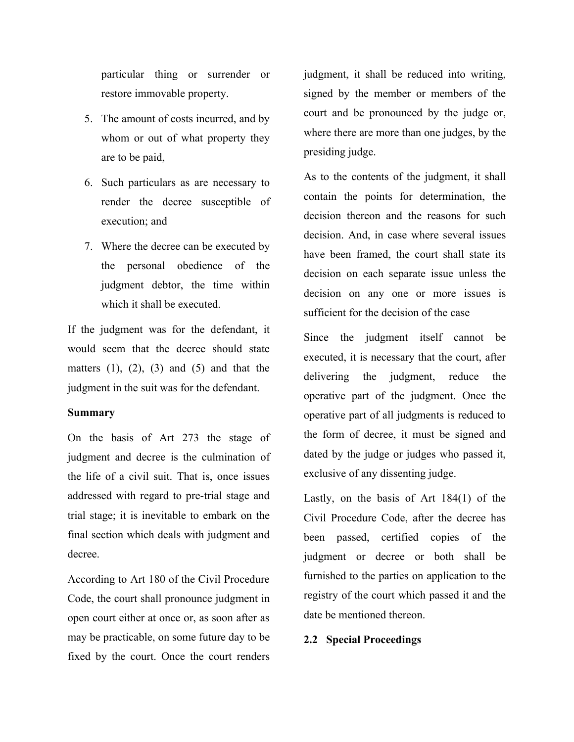particular thing or surrender or restore immovable property.

- 5. The amount of costs incurred, and by whom or out of what property they are to be paid,
- 6. Such particulars as are necessary to render the decree susceptible of execution; and
- 7. Where the decree can be executed by the personal obedience of the judgment debtor, the time within which it shall be executed.

If the judgment was for the defendant, it would seem that the decree should state matters  $(1)$ ,  $(2)$ ,  $(3)$  and  $(5)$  and that the judgment in the suit was for the defendant.

#### **Summary**

On the basis of Art 273 the stage of judgment and decree is the culmination of the life of a civil suit. That is, once issues addressed with regard to pre-trial stage and trial stage; it is inevitable to embark on the final section which deals with judgment and decree.

According to Art 180 of the Civil Procedure Code, the court shall pronounce judgment in open court either at once or, as soon after as may be practicable, on some future day to be fixed by the court. Once the court renders judgment, it shall be reduced into writing, signed by the member or members of the court and be pronounced by the judge or, where there are more than one judges, by the presiding judge.

As to the contents of the judgment, it shall contain the points for determination, the decision thereon and the reasons for such decision. And, in case where several issues have been framed, the court shall state its decision on each separate issue unless the decision on any one or more issues is sufficient for the decision of the case

Since the judgment itself cannot be executed, it is necessary that the court, after delivering the judgment, reduce the operative part of the judgment. Once the operative part of all judgments is reduced to the form of decree, it must be signed and dated by the judge or judges who passed it, exclusive of any dissenting judge.

Lastly, on the basis of Art 184(1) of the Civil Procedure Code, after the decree has been passed, certified copies of the judgment or decree or both shall be furnished to the parties on application to the registry of the court which passed it and the date be mentioned thereon.

### **2.2 Special Proceedings**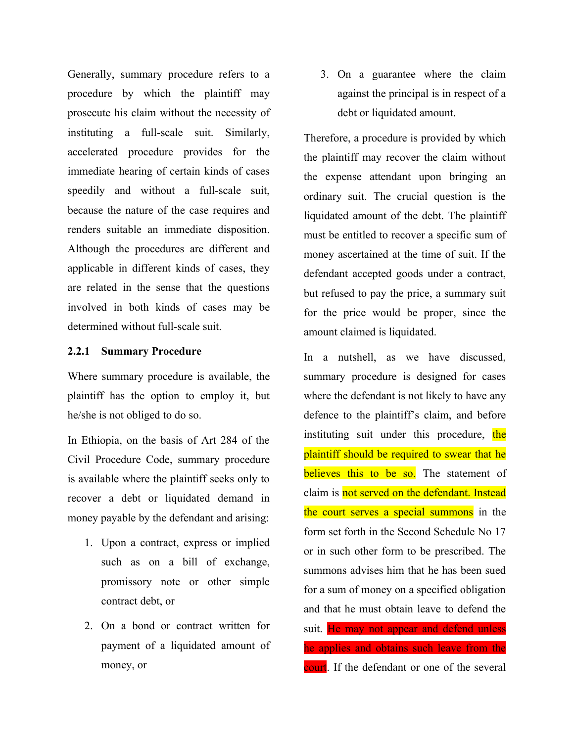Generally, summary procedure refers to a procedure by which the plaintiff may prosecute his claim without the necessity of instituting a full-scale suit. Similarly, accelerated procedure provides for the immediate hearing of certain kinds of cases speedily and without a full-scale suit, because the nature of the case requires and renders suitable an immediate disposition. Although the procedures are different and applicable in different kinds of cases, they are related in the sense that the questions involved in both kinds of cases may be determined without full-scale suit.

# **2.2.1 Summary Procedure**

Where summary procedure is available, the plaintiff has the option to employ it, but he/she is not obliged to do so.

In Ethiopia, on the basis of Art 284 of the Civil Procedure Code, summary procedure is available where the plaintiff seeks only to recover a debt or liquidated demand in money payable by the defendant and arising:

- 1. Upon a contract, express or implied such as on a bill of exchange, promissory note or other simple contract debt, or
- 2. On a bond or contract written for payment of a liquidated amount of money, or

3. On a guarantee where the claim against the principal is in respect of a debt or liquidated amount.

Therefore, a procedure is provided by which the plaintiff may recover the claim without the expense attendant upon bringing an ordinary suit. The crucial question is the liquidated amount of the debt. The plaintiff must be entitled to recover a specific sum of money ascertained at the time of suit. If the defendant accepted goods under a contract, but refused to pay the price, a summary suit for the price would be proper, since the amount claimed is liquidated.

In a nutshell, as we have discussed, summary procedure is designed for cases where the defendant is not likely to have any defence to the plaintiff's claim, and before instituting suit under this procedure, the plaintiff should be required to swear that he believes this to be so. The statement of claim is not served on the defendant. Instead the court serves a special summons in the form set forth in the Second Schedule No 17 or in such other form to be prescribed. The summons advises him that he has been sued for a sum of money on a specified obligation and that he must obtain leave to defend the suit. He may not appear and defend unless he applies and obtains such leave from the court. If the defendant or one of the several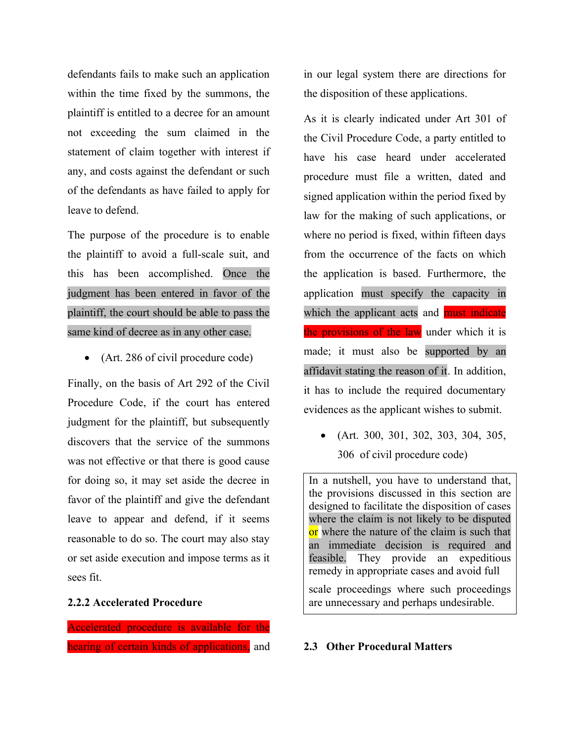defendants fails to make such an application within the time fixed by the summons, the plaintiff is entitled to a decree for an amount not exceeding the sum claimed in the statement of claim together with interest if any, and costs against the defendant or such of the defendants as have failed to apply for leave to defend.

The purpose of the procedure is to enable the plaintiff to avoid a full-scale suit, and this has been accomplished. Once the judgment has been entered in favor of the plaintiff, the court should be able to pass the same kind of decree as in any other case.

• (Art. 286 of civil procedure code)

Finally, on the basis of Art 292 of the Civil Procedure Code, if the court has entered judgment for the plaintiff, but subsequently discovers that the service of the summons was not effective or that there is good cause for doing so, it may set aside the decree in favor of the plaintiff and give the defendant leave to appear and defend, if it seems reasonable to do so. The court may also stay or set aside execution and impose terms as it sees fit.

## **2.2.2 Accelerated Procedure**

Accelerated procedure is available for the hearing of certain kinds of applications, and in our legal system there are directions for the disposition of these applications.

As it is clearly indicated under Art 301 of the Civil Procedure Code, a party entitled to have his case heard under accelerated procedure must file a written, dated and signed application within the period fixed by law for the making of such applications, or where no period is fixed, within fifteen days from the occurrence of the facts on which the application is based. Furthermore, the application must specify the capacity in which the applicant acts and must indicate the provisions of the law under which it is made; it must also be supported by an affidavit stating the reason of it. In addition, it has to include the required documentary evidences as the applicant wishes to submit.

• (Art. 300, 301, 302, 303, 304, 305, 306 of civil procedure code)

In a nutshell, you have to understand that, the provisions discussed in this section are designed to facilitate the disposition of cases where the claim is not likely to be disputed or where the nature of the claim is such that an immediate decision is required and feasible. They provide an expeditious remedy in appropriate cases and avoid full

scale proceedings where such proceedings are unnecessary and perhaps undesirable.

## **2.3 Other Procedural Matters**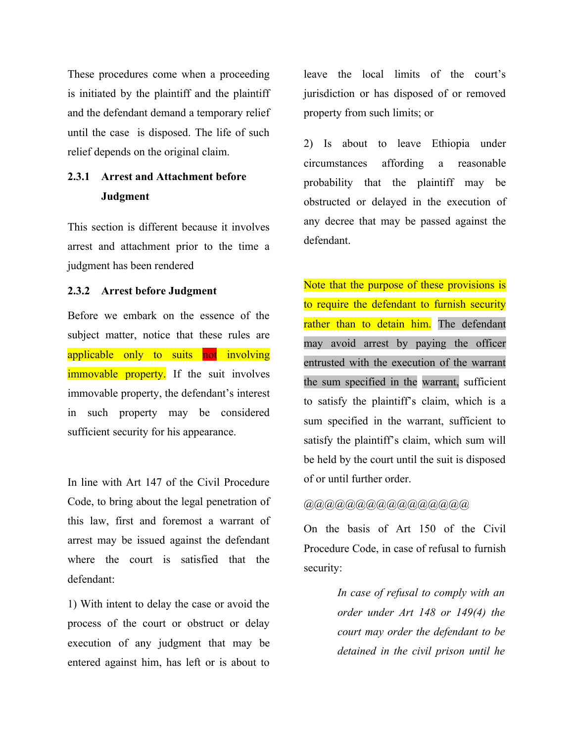These procedures come when a proceeding is initiated by the plaintiff and the plaintiff and the defendant demand a temporary relief until the case is disposed. The life of such relief depends on the original claim.

# **2.3.1 Arrest and Attachment before Judgment**

This section is different because it involves arrest and attachment prior to the time a judgment has been rendered

## **2.3.2 Arrest before Judgment**

Before we embark on the essence of the subject matter, notice that these rules are applicable only to suits not involving immovable property. If the suit involves immovable property, the defendant's interest in such property may be considered sufficient security for his appearance.

In line with Art 147 of the Civil Procedure Code, to bring about the legal penetration of this law, first and foremost a warrant of arrest may be issued against the defendant where the court is satisfied that the defendant:

1) With intent to delay the case or avoid the process of the court or obstruct or delay execution of any judgment that may be entered against him, has left or is about to

leave the local limits of the court's jurisdiction or has disposed of or removed property from such limits; or

2) Is about to leave Ethiopia under circumstances affording a reasonable probability that the plaintiff may be obstructed or delayed in the execution of any decree that may be passed against the defendant.

Note that the purpose of these provisions is to require the defendant to furnish security rather than to detain him. The defendant may avoid arrest by paying the officer entrusted with the execution of the warrant the sum specified in the warrant, sufficient to satisfy the plaintiff's claim, which is a sum specified in the warrant, sufficient to satisfy the plaintiff's claim, which sum will be held by the court until the suit is disposed of or until further order.

# @@@@@@@@@@@@@@@@

On the basis of Art 150 of the Civil Procedure Code, in case of refusal to furnish security:

> *In case of refusal to comply with an order under Art 148 or 149(4) the court may order the defendant to be detained in the civil prison until he*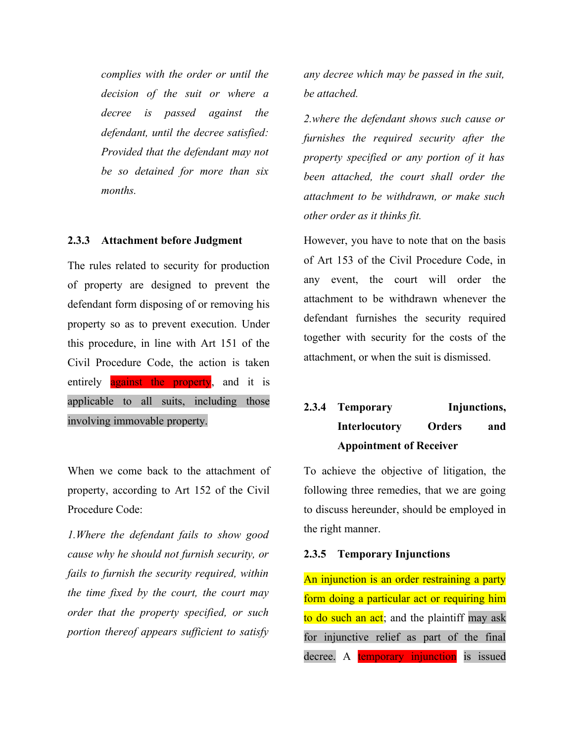*complies with the order or until the decision of the suit or where a decree is passed against the defendant, until the decree satisfied: Provided that the defendant may not be so detained for more than six months.*

#### **2.3.3 Attachment before Judgment**

The rules related to security for production of property are designed to prevent the defendant form disposing of or removing his property so as to prevent execution. Under this procedure, in line with Art 151 of the Civil Procedure Code, the action is taken entirely **against** the property, and it is applicable to all suits, including those involving immovable property.

When we come back to the attachment of property, according to Art 152 of the Civil Procedure Code:

*1.Where the defendant fails to show good cause why he should not furnish security, or fails to furnish the security required, within the time fixed by the court, the court may order that the property specified, or such portion thereof appears sufficient to satisfy*

*any decree which may be passed in the suit, be attached.*

*2.where the defendant shows such cause or furnishes the required security after the property specified or any portion of it has been attached, the court shall order the attachment to be withdrawn, or make such other order as it thinks fit.*

However, you have to note that on the basis of Art 153 of the Civil Procedure Code, in any event, the court will order the attachment to be withdrawn whenever the defendant furnishes the security required together with security for the costs of the attachment, or when the suit is dismissed.

# **2.3.4 Temporary Injunctions, Interlocutory Orders and Appointment of Receiver**

To achieve the objective of litigation, the following three remedies, that we are going to discuss hereunder, should be employed in the right manner.

#### **2.3.5 Temporary Injunctions**

An injunction is an order restraining a party form doing a particular act or requiring him to do such an act; and the plaintiff may ask for injunctive relief as part of the final decree. A temporary injunction is issued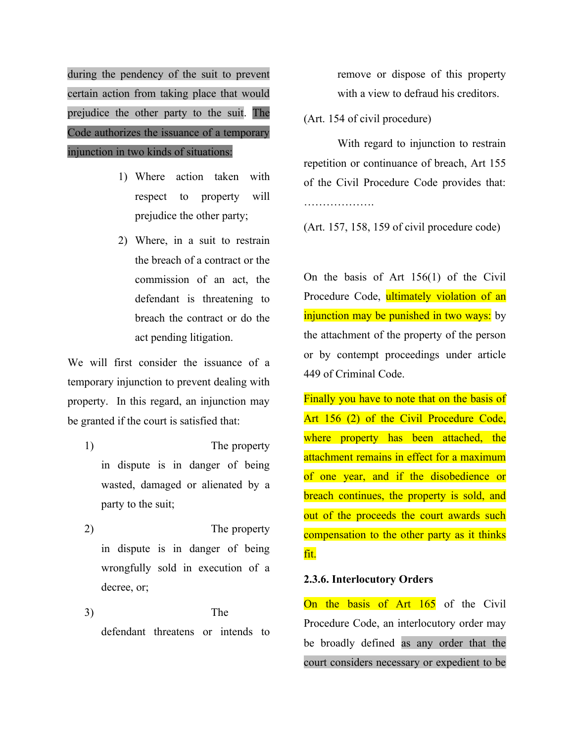during the pendency of the suit to prevent certain action from taking place that would prejudice the other party to the suit. The Code authorizes the issuance of a temporary injunction in two kinds of situations:

- 1) Where action taken with respect to property will prejudice the other party;
- 2) Where, in a suit to restrain the breach of a contract or the commission of an act, the defendant is threatening to breach the contract or do the act pending litigation.

We will first consider the issuance of a temporary injunction to prevent dealing with property. In this regard, an injunction may be granted if the court is satisfied that:

- 1) The property in dispute is in danger of being wasted, damaged or alienated by a party to the suit;
- 2) The property in dispute is in danger of being wrongfully sold in execution of a decree, or;

3) The defendant threatens or intends to remove or dispose of this property with a view to defraud his creditors.

(Art. 154 of civil procedure)

With regard to injunction to restrain repetition or continuance of breach, Art 155 of the Civil Procedure Code provides that: …………………

(Art. 157, 158, 159 of civil procedure code)

On the basis of Art 156(1) of the Civil Procedure Code, ultimately violation of an injunction may be punished in two ways: by the attachment of the property of the person or by contempt proceedings under article 449 of Criminal Code.

Finally you have to note that on the basis of Art 156 (2) of the Civil Procedure Code, where property has been attached, the attachment remains in effect for a maximum of one year, and if the disobedience or breach continues, the property is sold, and out of the proceeds the court awards such compensation to the other party as it thinks fit.

# **2.3.6. Interlocutory Orders**

On the basis of Art 165 of the Civil Procedure Code, an interlocutory order may be broadly defined as any order that the court considers necessary or expedient to be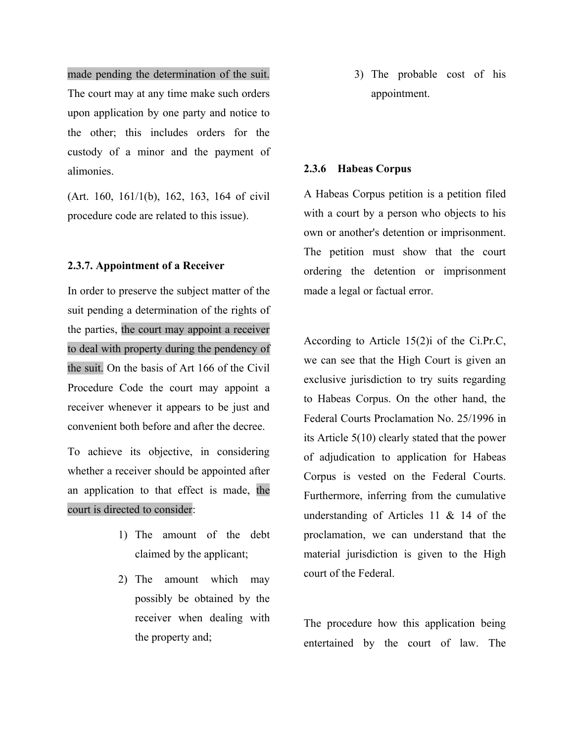made pending the determination of the suit. The court may at any time make such orders upon application by one party and notice to the other; this includes orders for the custody of a minor and the payment of alimonies.

(Art. 160, 161/1(b), 162, 163, 164 of civil procedure code are related to this issue).

## **2.3.7. Appointment of a Receiver**

In order to preserve the subject matter of the suit pending a determination of the rights of the parties, the court may appoint a receiver to deal with property during the pendency of the suit. On the basis of Art 166 of the Civil Procedure Code the court may appoint a receiver whenever it appears to be just and convenient both before and after the decree.

To achieve its objective, in considering whether a receiver should be appointed after an application to that effect is made, the court is directed to consider:

- 1) The amount of the debt claimed by the applicant;
- 2) The amount which may possibly be obtained by the receiver when dealing with the property and;

3) The probable cost of his appointment.

#### **2.3.6 Habeas Corpus**

A Habeas Corpus petition is a petition filed with a court by a person who objects to his own or another's detention or imprisonment. The petition must show that the court ordering the detention or imprisonment made a legal or factual error.

According to Article 15(2)i of the Ci.Pr.C, we can see that the High Court is given an exclusive jurisdiction to try suits regarding to Habeas Corpus. On the other hand, the Federal Courts Proclamation No. 25/1996 in its Article 5(10) clearly stated that the power of adjudication to application for Habeas Corpus is vested on the Federal Courts. Furthermore, inferring from the cumulative understanding of Articles 11 & 14 of the proclamation, we can understand that the material jurisdiction is given to the High court of the Federal.

The procedure how this application being entertained by the court of law. The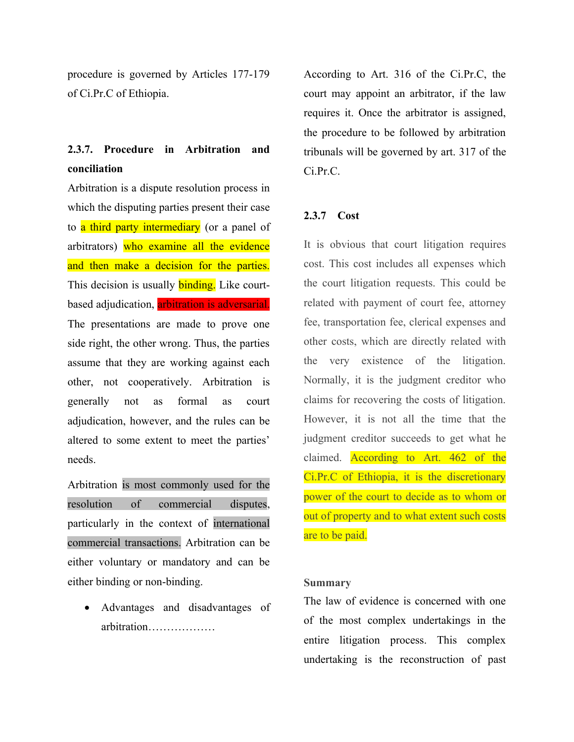procedure is governed by Articles 177-179 of Ci.Pr.C of Ethiopia.

# **2.3.7. Procedure in Arbitration and conciliation**

Arbitration is a dispute resolution process in which the disputing parties present their case to a third party intermediary (or a panel of arbitrators) who examine all the evidence and then make a decision for the parties. This decision is usually **binding.** Like courtbased adjudication, arbitration is adversarial. The presentations are made to prove one side right, the other wrong. Thus, the parties assume that they are working against each other, not cooperatively. Arbitration is generally not as formal as court adjudication, however, and the rules can be altered to some extent to meet the parties' needs.

Arbitration is most commonly used for the resolution of commercial disputes, particularly in the context of international commercial transactions. Arbitration can be either voluntary or mandatory and can be either binding or non-binding.

 Advantages and disadvantages of arbitration………………

According to Art. 316 of the Ci.Pr.C, the court may appoint an arbitrator, if the law requires it. Once the arbitrator is assigned, the procedure to be followed by arbitration tribunals will be governed by art. 317 of the Ci.Pr.C.

# **2.3.7 Cost**

It is obvious that court litigation requires cost. This cost includes all expenses which the court litigation requests. This could be related with payment of court fee, attorney fee, transportation fee, clerical expenses and other costs, which are directly related with the very existence of the litigation. Normally, it is the judgment creditor who claims for recovering the costs of litigation. However, it is not all the time that the judgment creditor succeeds to get what he claimed. According to Art. 462 of the Ci.Pr.C of Ethiopia, it is the discretionary power of the court to decide as to whom or out of property and to what extent such costs are to be paid.

# **Summary**

The law of evidence is concerned with one of the most complex undertakings in the entire litigation process. This complex undertaking is the reconstruction of past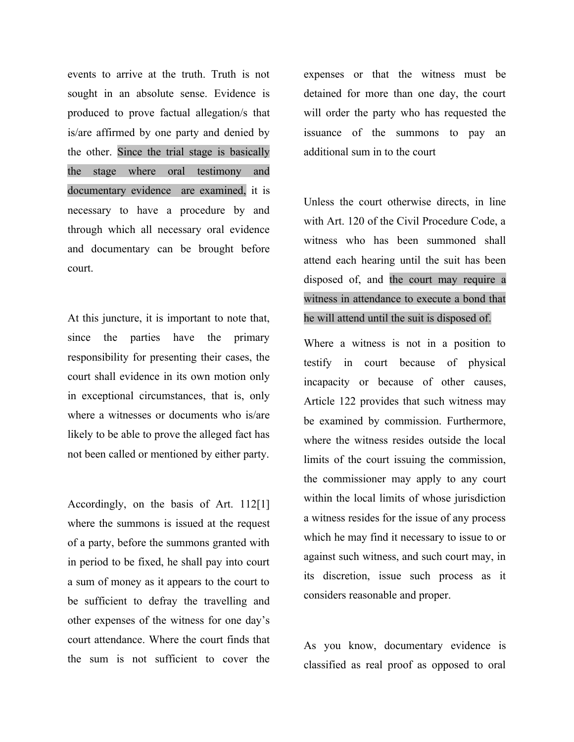events to arrive at the truth. Truth is not sought in an absolute sense. Evidence is produced to prove factual allegation/s that is/are affirmed by one party and denied by the other. Since the trial stage is basically the stage where oral testimony and documentary evidence are examined, it is necessary to have a procedure by and through which all necessary oral evidence and documentary can be brought before court.

At this juncture, it is important to note that, since the parties have the primary responsibility for presenting their cases, the court shall evidence in its own motion only in exceptional circumstances, that is, only where a witnesses or documents who is/are likely to be able to prove the alleged fact has not been called or mentioned by either party.

Accordingly, on the basis of Art. 112[1] where the summons is issued at the request of a party, before the summons granted with in period to be fixed, he shall pay into court a sum of money as it appears to the court to be sufficient to defray the travelling and other expenses of the witness for one day's court attendance. Where the court finds that the sum is not sufficient to cover the

expenses or that the witness must be detained for more than one day, the court will order the party who has requested the issuance of the summons to pay an additional sum in to the court

Unless the court otherwise directs, in line with Art. 120 of the Civil Procedure Code, a witness who has been summoned shall attend each hearing until the suit has been disposed of, and the court may require a witness in attendance to execute a bond that he will attend until the suit is disposed of.

Where a witness is not in a position to testify in court because of physical incapacity or because of other causes, Article 122 provides that such witness may be examined by commission. Furthermore, where the witness resides outside the local limits of the court issuing the commission, the commissioner may apply to any court within the local limits of whose jurisdiction a witness resides for the issue of any process which he may find it necessary to issue to or against such witness, and such court may, in its discretion, issue such process as it considers reasonable and proper.

As you know, documentary evidence is classified as real proof as opposed to oral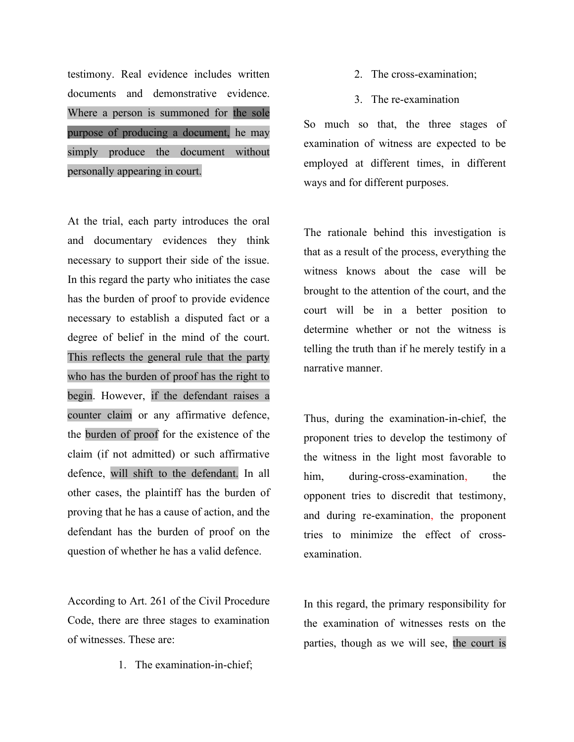testimony. Real evidence includes written documents and demonstrative evidence. Where a person is summoned for the sole purpose of producing a document, he may simply produce the document without personally appearing in court.

At the trial, each party introduces the oral and documentary evidences they think necessary to support their side of the issue. In this regard the party who initiates the case has the burden of proof to provide evidence necessary to establish a disputed fact or a degree of belief in the mind of the court. This reflects the general rule that the party who has the burden of proof has the right to begin. However, if the defendant raises a counter claim or any affirmative defence, the burden of proof for the existence of the claim (if not admitted) or such affirmative defence, will shift to the defendant. In all other cases, the plaintiff has the burden of proving that he has a cause of action, and the defendant has the burden of proof on the question of whether he has a valid defence.

According to Art. 261 of the Civil Procedure Code, there are three stages to examination of witnesses. These are:

1. The examination-in-chief;

- 2. The cross-examination;
- 3. The re-examination

So much so that, the three stages of examination of witness are expected to be employed at different times, in different ways and for different purposes.

The rationale behind this investigation is that as a result of the process, everything the witness knows about the case will be brought to the attention of the court, and the court will be in a better position to determine whether or not the witness is telling the truth than if he merely testify in a narrative manner.

Thus, during the examination-in-chief, the proponent tries to develop the testimony of the witness in the light most favorable to him, during-cross-examination, the opponent tries to discredit that testimony, and during re-examination, the proponent tries to minimize the effect of crossexamination.

In this regard, the primary responsibility for the examination of witnesses rests on the parties, though as we will see, the court is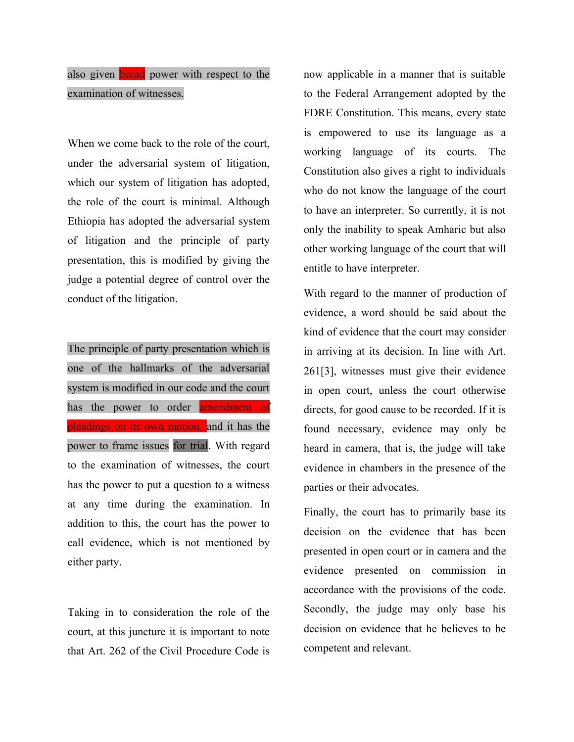# also given **broad** power with respect to the examination of witnesses.

When we come back to the role of the court, under the adversarial system of litigation, which our system of litigation has adopted, the role of the court is minimal. Although Ethiopia has adopted the adversarial system of litigation and the principle of party presentation, this is modified by giving the judge a potential degree of control over the conduct of the litigation.

The principle of party presentation which is one of the hallmarks of the adversarial system is modified in our code and the court has the power to order **amendment** of pleadings on its own motion, and it has the power to frame issues for trial. With regard to the examination of witnesses, the court has the power to put a question to a witness at any time during the examination. In addition to this, the court has the power to call evidence, which is not mentioned by either party.

Taking in to consideration the role of the court, at this juncture it is important to note that Art. 262 of the Civil Procedure Code is now applicable in a manner that is suitable to the Federal Arrangement adopted by the FDRE Constitution. This means, every state is empowered to use its language as a working language of its courts. The Constitution also gives a right to individuals who do not know the language of the court to have an interpreter. So currently, it is not only the inability to speak Amharic but also other working language of the court that will entitle to have interpreter.

With regard to the manner of production of evidence, a word should be said about the kind of evidence that the court may consider in arriving at its decision. In line with Art. 261[3], witnesses must give their evidence in open court, unless the court otherwise directs, for good cause to be recorded. If it is found necessary, evidence may only be heard in camera, that is, the judge will take evidence in chambers in the presence of the parties or their advocates.

Finally, the court has to primarily base its decision on the evidence that has been presented in open court or in camera and the evidence presented on commission in accordance with the provisions of the code. Secondly, the judge may only base his decision on evidence that he believes to be competent and relevant.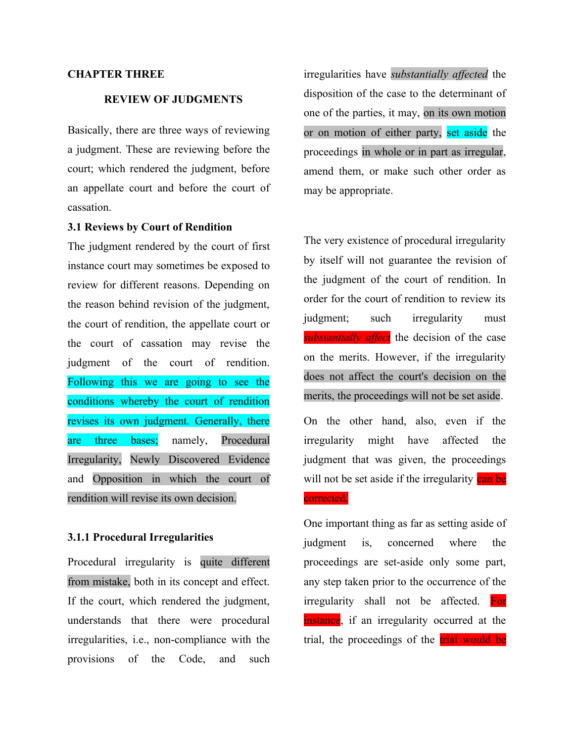### **CHAPTER THREE**

# **REVIEW OF JUDGMENTS**

Basically, there are three ways of reviewing a judgment. These are reviewing before the court; which rendered the judgment, before an appellate court and before the court of cassation.

# **3.1 Reviews by Court of Rendition**

The judgment rendered by the court of first instance court may sometimes be exposed to review for different reasons. Depending on the reason behind revision of the judgment, the court of rendition, the appellate court or the court of cassation may revise the judgment of the court of rendition. Following this we are going to see the conditions whereby the court of rendition revises its own judgment. Generally, there are three bases; namely, Procedural Irregularity, Newly Discovered Evidence and Opposition in which the court of rendition will revise its own decision.

#### **3.1.1 Procedural Irregularities**

Procedural irregularity is quite different from mistake, both in its concept and effect. If the court, which rendered the judgment, understands that there were procedural irregularities, i.e., non-compliance with the provisions of the Code, and such

irregularities have *substantially affected* the disposition of the case to the determinant of one of the parties, it may, on its own motion or on motion of either party, set aside the proceedings in whole or in part as irregular, amend them, or make such other order as may be appropriate.

The very existence of procedural irregularity by itself will not guarantee the revision of the judgment of the court of rendition. In order for the court of rendition to review its judgment; such irregularity must *substantially affect* the decision of the case on the merits. However, if the irregularity does not affect the court's decision on the merits, the proceedings will not be set aside. On the other hand, also, even if the irregularity might have affected the judgment that was given, the proceedings

#### corrected.

One important thing as far as setting aside of judgment is, concerned where the proceedings are set-aside only some part, any step taken prior to the occurrence of the irregularity shall not be affected. For instance, if an irregularity occurred at the trial, the proceedings of the trial would be

will not be set aside if the irregularity can be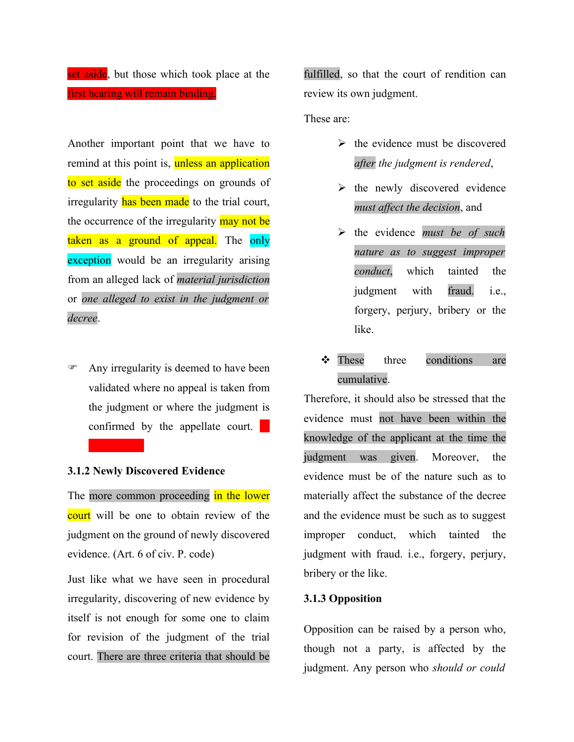set aside, but those which took place at the first hearing will remain binding.

Another important point that we have to remind at this point is, unless an application to set aside the proceedings on grounds of irregularity has been made to the trial court, the occurrence of the irregularity may not be taken as a ground of appeal. The only exception would be an irregularity arising from an alleged lack of *material jurisdiction* or *one alleged to exist in the judgment or decree*.

F Any irregularity is deemed to have been validated where no appeal is taken from the judgment or where the judgment is confirmed by the appellate court.  $\blacksquare$ 

# **3.1.2 Newly Discovered Evidence**

The more common proceeding in the lower court will be one to obtain review of the judgment on the ground of newly discovered evidence. (Art. 6 of civ. P. code)

Just like what we have seen in procedural irregularity, discovering of new evidence by itself is not enough for some one to claim for revision of the judgment of the trial court. There are three criteria that should be fulfilled, so that the court of rendition can review its own judgment.

These are:

- $\triangleright$  the evidence must be discovered *after the judgment is rendered*,
- $\triangleright$  the newly discovered evidence *must affect the decision*, and
- the evidence *must be of such nature as to suggest improper conduct*, which tainted the judgment with fraud. i.e., forgery, perjury, bribery or the like.
- These three conditions are cumulative.

Therefore, it should also be stressed that the evidence must not have been within the knowledge of the applicant at the time the judgment was given. Moreover, the evidence must be of the nature such as to materially affect the substance of the decree and the evidence must be such as to suggest improper conduct, which tainted the judgment with fraud. i.e., forgery, perjury, bribery or the like.

# **3.1.3 Opposition**

Opposition can be raised by a person who, though not a party, is affected by the judgment. Any person who *should or could*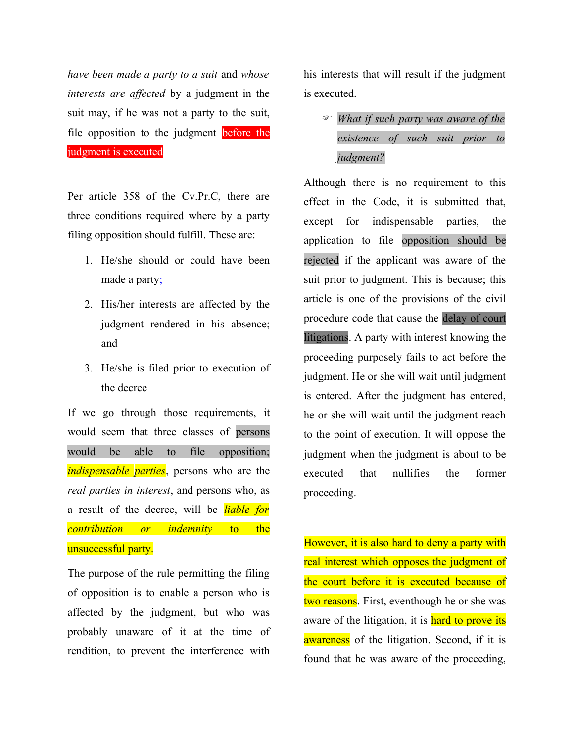*have been made a party to a suit* and *whose interests are affected* by a judgment in the suit may, if he was not a party to the suit, file opposition to the judgment before the judgment is executed

Per article 358 of the Cv.Pr.C, there are three conditions required where by a party filing opposition should fulfill. These are:

- 1. He/she should or could have been made a party;
- 2. His/her interests are affected by the judgment rendered in his absence; and
- 3. He/she is filed prior to execution of the decree

If we go through those requirements, it would seem that three classes of persons would be able to file opposition; *indispensable parties*, persons who are the *real parties in interest*, and persons who, as a result of the decree, will be *liable for contribution or indemnity* to the unsuccessful party.

The purpose of the rule permitting the filing of opposition is to enable a person who is affected by the judgment, but who was probably unaware of it at the time of rendition, to prevent the interference with

his interests that will result if the judgment is executed.

# F *What if such party was aware of the existence of such suit prior to judgment?*

Although there is no requirement to this effect in the Code, it is submitted that, except for indispensable parties, the application to file opposition should be rejected if the applicant was aware of the suit prior to judgment. This is because; this article is one of the provisions of the civil procedure code that cause the delay of court litigations. A party with interest knowing the proceeding purposely fails to act before the judgment. He or she will wait until judgment is entered. After the judgment has entered, he or she will wait until the judgment reach to the point of execution. It will oppose the judgment when the judgment is about to be executed that nullifies the former proceeding.

However, it is also hard to deny a party with real interest which opposes the judgment of the court before it is executed because of two reasons. First, eventhough he or she was aware of the litigation, it is hard to prove its awareness of the litigation. Second, if it is found that he was aware of the proceeding,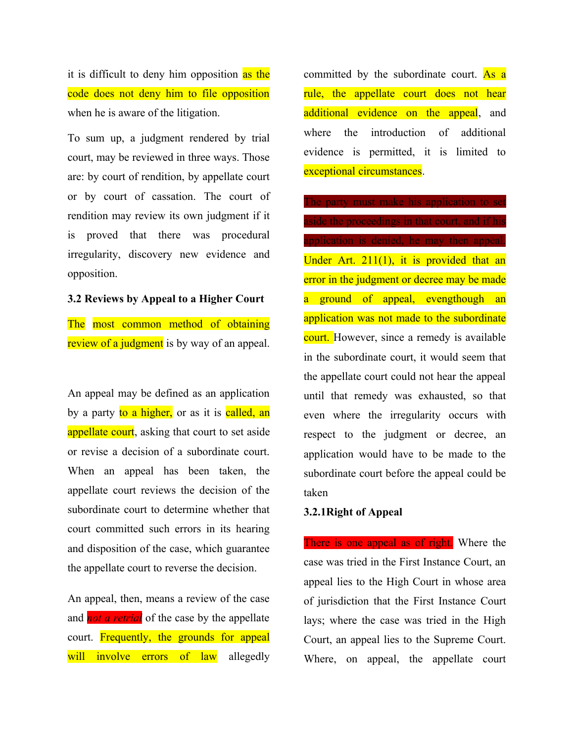it is difficult to deny him opposition as the code does not deny him to file opposition when he is aware of the litigation.

To sum up, a judgment rendered by trial court, may be reviewed in three ways. Those are: by court of rendition, by appellate court or by court of cassation. The court of rendition may review its own judgment if it is proved that there was procedural irregularity, discovery new evidence and opposition.

### **3.2 Reviews by Appeal to a Higher Court**

The most common method of obtaining review of a judgment is by way of an appeal.

An appeal may be defined as an application by a party to a higher, or as it is called, an appellate court, asking that court to set aside or revise a decision of a subordinate court. When an appeal has been taken, the appellate court reviews the decision of the subordinate court to determine whether that court committed such errors in its hearing and disposition of the case, which guarantee the appellate court to reverse the decision.

An appeal, then, means a review of the case and *not a retrial* of the case by the appellate court. Frequently, the grounds for appeal will involve errors of law allegedly

committed by the subordinate court. As a rule, the appellate court does not hear additional evidence on the appeal, and where the introduction of additional evidence is permitted, it is limited to exceptional circumstances.

The party must make his application to set aside the proceedings in that court, and if his application is denied, he may then appeal. Under Art. 211(1), it is provided that an error in the judgment or decree may be made a ground of appeal, evengthough an application was not made to the subordinate court. However, since a remedy is available in the subordinate court, it would seem that the appellate court could not hear the appeal until that remedy was exhausted, so that even where the irregularity occurs with respect to the judgment or decree, an application would have to be made to the subordinate court before the appeal could be taken

### **3.2.1Right of Appeal**

There is one appeal as of right. Where the case was tried in the First Instance Court, an appeal lies to the High Court in whose area of jurisdiction that the First Instance Court lays; where the case was tried in the High Court, an appeal lies to the Supreme Court. Where, on appeal, the appellate court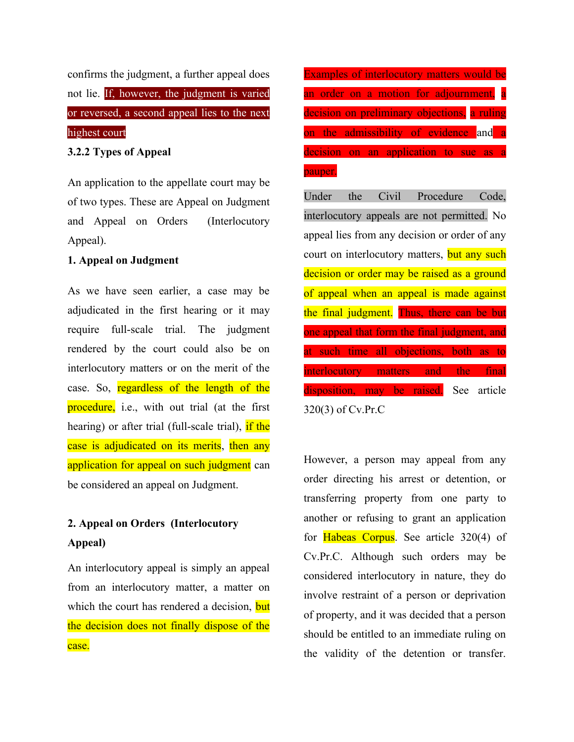confirms the judgment, a further appeal does not lie. If, however, the judgment is varied or reversed, a second appeal lies to the next highest court,

**3.2.2 Types of Appeal**

An application to the appellate court may be of two types. These are Appeal on Judgment and Appeal on Orders (Interlocutory Appeal).

# **1. Appeal on Judgment**

As we have seen earlier, a case may be adjudicated in the first hearing or it may require full-scale trial. The judgment rendered by the court could also be on interlocutory matters or on the merit of the case. So, regardless of the length of the procedure, i.e., with out trial (at the first hearing) or after trial (full-scale trial), if the case is adjudicated on its merits, then any application for appeal on such judgment can be considered an appeal on Judgment.

# **2. Appeal on Orders (Interlocutory Appeal)**

An interlocutory appeal is simply an appeal from an interlocutory matter, a matter on which the court has rendered a decision, but the decision does not finally dispose of the case.

Examples of interlocutory matters would be an order on a motion for adjournment, a decision on preliminary objections, a ruling on the admissibility of evidence and a decision on an application to sue as a pauper.

Under the Civil Procedure Code, interlocutory appeals are not permitted. No appeal lies from any decision or order of any court on interlocutory matters, but any such decision or order may be raised as a ground of appeal when an appeal is made against the final judgment. Thus, there can be but one appeal that form the final judgment, and at such time all objections, both as to interlocutory matters and the final disposition, may be raised. See article 320(3) of Cv.Pr.C

However, a person may appeal from any order directing his arrest or detention, or transferring property from one party to another or refusing to grant an application for Habeas Corpus. See article 320(4) of Cv.Pr.C. Although such orders may be considered interlocutory in nature, they do involve restraint of a person or deprivation of property, and it was decided that a person should be entitled to an immediate ruling on the validity of the detention or transfer.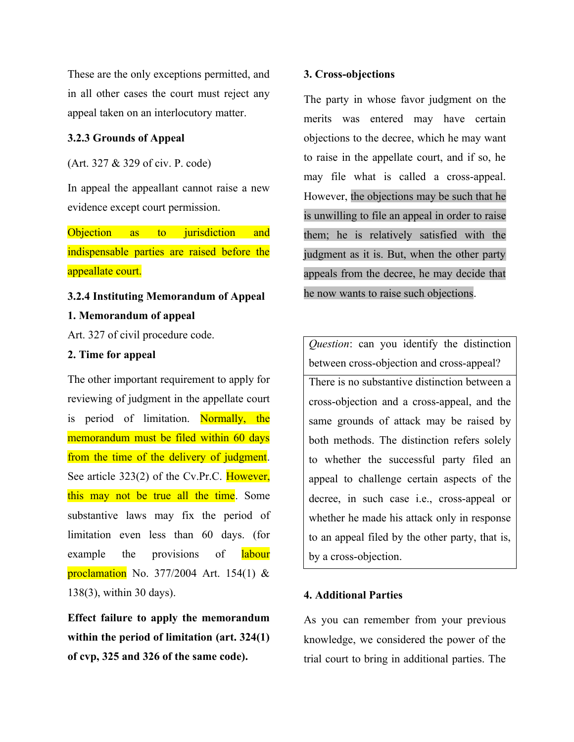These are the only exceptions permitted, and in all other cases the court must reject any appeal taken on an interlocutory matter.

#### **3.2.3 Grounds of Appeal**

(Art. 327 & 329 of civ. P. code)

In appeal the appeallant cannot raise a new evidence except court permission.

Objection as to jurisdiction and indispensable parties are raised before the appeallate court.

## **3.2.4 Instituting Memorandum of Appeal**

## **1. Memorandum of appeal**

Art. 327 of civil procedure code.

# **2. Time for appeal**

The other important requirement to apply for reviewing of judgment in the appellate court is period of limitation. Normally, the memorandum must be filed within 60 days from the time of the delivery of judgment. See article 323(2) of the Cv.Pr.C. However, this may not be true all the time. Some substantive laws may fix the period of limitation even less than 60 days. (for example the provisions of labour proclamation No. 377/2004 Art. 154(1)  $&$ 138(3), within 30 days).

**Effect failure to apply the memorandum within the period of limitation (art. 324(1) of cvp, 325 and 326 of the same code).**

#### **3. Cross-objections**

The party in whose favor judgment on the merits was entered may have certain objections to the decree, which he may want to raise in the appellate court, and if so, he may file what is called a cross-appeal. However, the objections may be such that he is unwilling to file an appeal in order to raise them; he is relatively satisfied with the judgment as it is. But, when the other party appeals from the decree, he may decide that he now wants to raise such objections.

*Question*: can you identify the distinction between cross-objection and cross-appeal?

There is no substantive distinction between a cross-objection and a cross-appeal, and the same grounds of attack may be raised by both methods. The distinction refers solely to whether the successful party filed an appeal to challenge certain aspects of the decree, in such case i.e., cross-appeal or whether he made his attack only in response to an appeal filed by the other party, that is, by a cross-objection.

### **4. Additional Parties**

As you can remember from your previous knowledge, we considered the power of the trial court to bring in additional parties. The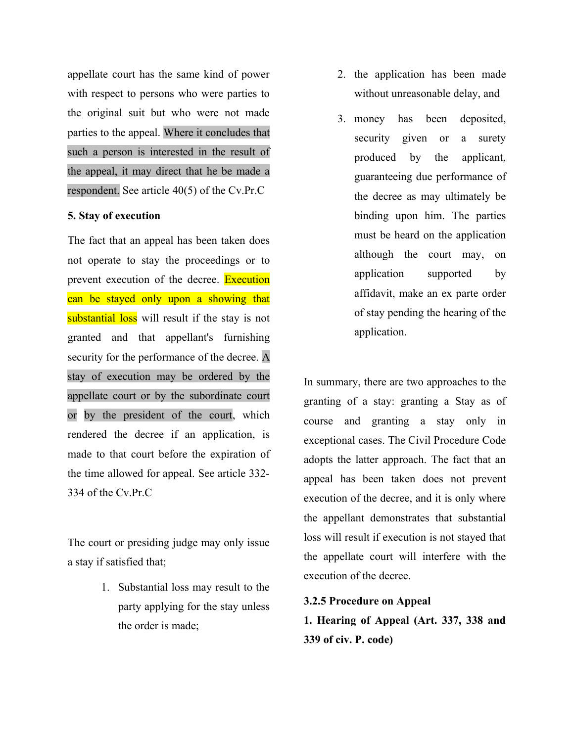appellate court has the same kind of power with respect to persons who were parties to the original suit but who were not made parties to the appeal. Where it concludes that such a person is interested in the result of the appeal, it may direct that he be made a respondent. See article 40(5) of the Cv.Pr.C

# **5. Stay of execution**

The fact that an appeal has been taken does not operate to stay the proceedings or to prevent execution of the decree. Execution can be stayed only upon a showing that substantial loss will result if the stay is not granted and that appellant's furnishing security for the performance of the decree. A stay of execution may be ordered by the appellate court or by the subordinate court or by the president of the court, which rendered the decree if an application, is made to that court before the expiration of the time allowed for appeal. See article 332- 334 of the Cv.Pr.C

The court or presiding judge may only issue a stay if satisfied that;

> 1. Substantial loss may result to the party applying for the stay unless the order is made;

- 2. the application has been made without unreasonable delay, and
- 3. money has been deposited, security given or a surety produced by the applicant, guaranteeing due performance of the decree as may ultimately be binding upon him. The parties must be heard on the application although the court may, on application supported by affidavit, make an ex parte order of stay pending the hearing of the application.

In summary, there are two approaches to the granting of a stay: granting a Stay as of course and granting a stay only in exceptional cases. The Civil Procedure Code adopts the latter approach. The fact that an appeal has been taken does not prevent execution of the decree, and it is only where the appellant demonstrates that substantial loss will result if execution is not stayed that the appellate court will interfere with the execution of the decree.

**3.2.5 Procedure on Appeal 1. Hearing of Appeal (Art. 337, 338 and 339 of civ. P. code)**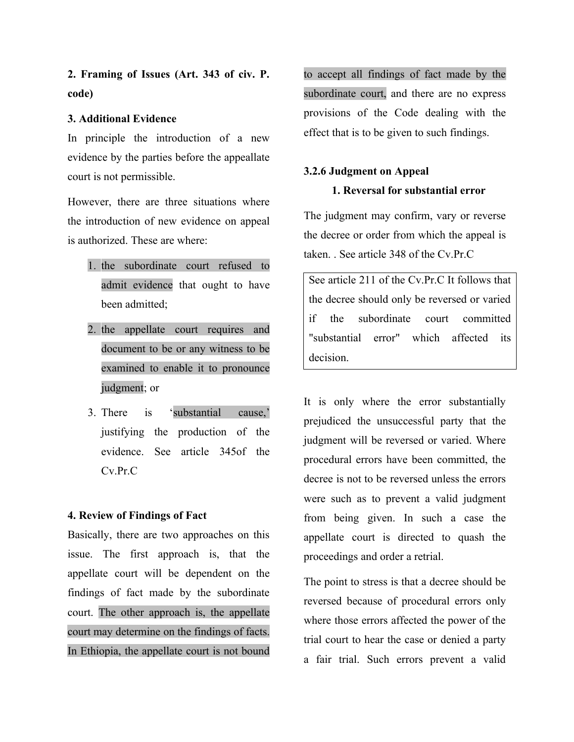**2. Framing of Issues (Art. 343 of civ. P. code)**

# **3. Additional Evidence**

In principle the introduction of a new evidence by the parties before the appeallate court is not permissible.

However, there are three situations where the introduction of new evidence on appeal is authorized. These are where:

- 1. the subordinate court refused to admit evidence that ought to have been admitted;
- 2. the appellate court requires and document to be or any witness to be examined to enable it to pronounce judgment; or
- 3. There is 'substantial cause,' justifying the production of the evidence. See article 345of the Cv.Pr.C

# **4. Review of Findings of Fact**

Basically, there are two approaches on this issue. The first approach is, that the appellate court will be dependent on the findings of fact made by the subordinate court. The other approach is, the appellate court may determine on the findings of facts. In Ethiopia, the appellate court is not bound to accept all findings of fact made by the subordinate court, and there are no express provisions of the Code dealing with the effect that is to be given to such findings.

## **3.2.6 Judgment on Appeal**

# **1. Reversal for substantial error**

The judgment may confirm, vary or reverse the decree or order from which the appeal is taken. . See article 348 of the Cv.Pr.C

See article 211 of the Cv.Pr.C It follows that the decree should only be reversed or varied if the subordinate court committed "substantial error" which affected its decision.

It is only where the error substantially prejudiced the unsuccessful party that the judgment will be reversed or varied. Where procedural errors have been committed, the decree is not to be reversed unless the errors were such as to prevent a valid judgment from being given. In such a case the appellate court is directed to quash the proceedings and order a retrial.

The point to stress is that a decree should be reversed because of procedural errors only where those errors affected the power of the trial court to hear the case or denied a party a fair trial. Such errors prevent a valid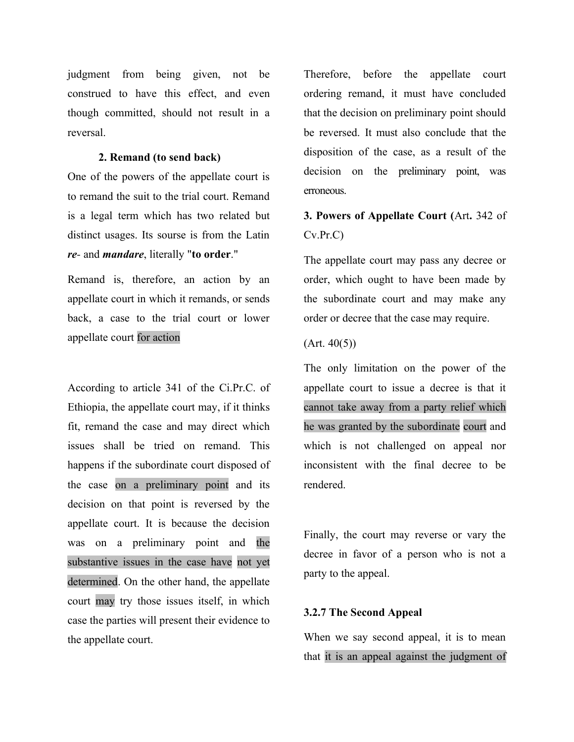judgment from being given, not be construed to have this effect, and even though committed, should not result in a reversal.

### **2. Remand (to send back)**

One of the powers of the appellate court is to remand the suit to the trial court. Remand is a legal term which has two related but distinct usages. Its sourse is from the Latin *re-* and *mandare*, literally "**to order**."

Remand is, therefore, an action by an appellate court in which it remands, or sends back, a case to the trial court or lower appellate court for action

According to article 341 of the Ci.Pr.C. of Ethiopia, the appellate court may, if it thinks fit, remand the case and may direct which issues shall be tried on remand. This happens if the subordinate court disposed of the case on a preliminary point and its decision on that point is reversed by the appellate court. It is because the decision was on a preliminary point and the substantive issues in the case have not yet determined. On the other hand, the appellate court may try those issues itself, in which case the parties will present their evidence to the appellate court.

Therefore, before the appellate court ordering remand, it must have concluded that the decision on preliminary point should be reversed. It must also conclude that the disposition of the case, as a result of the decision on the preliminary point, was erroneous.

# **3. Powers of Appellate Court (**Art**.** 342 of Cv.Pr.C)

The appellate court may pass any decree or order, which ought to have been made by the subordinate court and may make any order or decree that the case may require.

#### $(Art. 40(5))$

The only limitation on the power of the appellate court to issue a decree is that it cannot take away from a party relief which he was granted by the subordinate court and which is not challenged on appeal nor inconsistent with the final decree to be rendered.

Finally, the court may reverse or vary the decree in favor of a person who is not a party to the appeal.

## **3.2.7 The Second Appeal**

When we say second appeal, it is to mean that it is an appeal against the judgment of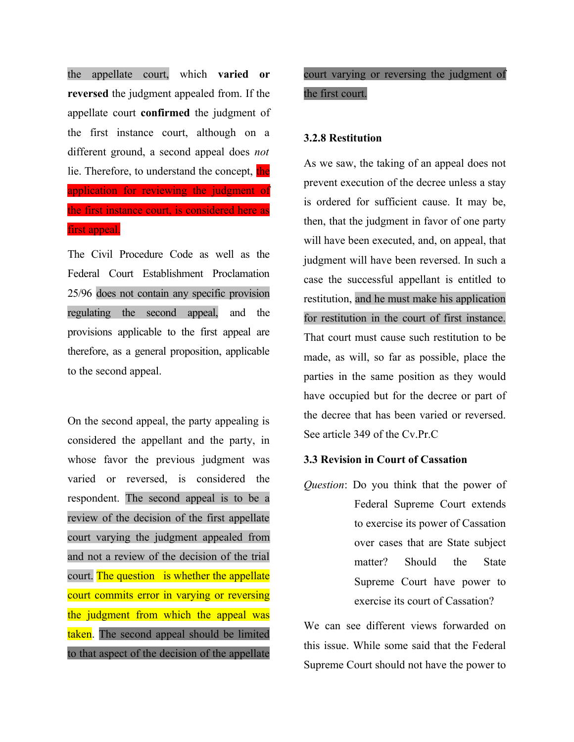the appellate court, which **varied or reversed** the judgment appealed from. If the appellate court **confirmed** the judgment of the first instance court, although on a different ground, a second appeal does *not* lie. Therefore, to understand the concept, the application for reviewing the judgment of the first instance court, is considered here as first appeal.

The Civil Procedure Code as well as the Federal Court Establishment Proclamation 25/96 does not contain any specific provision regulating the second appeal, and the provisions applicable to the first appeal are therefore, as a general proposition, applicable to the second appeal.

On the second appeal, the party appealing is considered the appellant and the party, in whose favor the previous judgment was varied or reversed, is considered the respondent. The second appeal is to be a review of the decision of the first appellate court varying the judgment appealed from and not a review of the decision of the trial court. The question is whether the appellate court commits error in varying or reversing the judgment from which the appeal was taken. The second appeal should be limited to that aspect of the decision of the appellate

# court varying or reversing the judgment of the first court.

### **3.2.8 Restitution**

As we saw, the taking of an appeal does not prevent execution of the decree unless a stay is ordered for sufficient cause. It may be, then, that the judgment in favor of one party will have been executed, and, on appeal, that judgment will have been reversed. In such a case the successful appellant is entitled to restitution, and he must make his application for restitution in the court of first instance. That court must cause such restitution to be made, as will, so far as possible, place the parties in the same position as they would have occupied but for the decree or part of the decree that has been varied or reversed. See article 349 of the Cv.Pr.C

# **3.3 Revision in Court of Cassation**

*Question*: Do you think that the power of Federal Supreme Court extends to exercise its power of Cassation over cases that are State subject matter? Should the State Supreme Court have power to exercise its court of Cassation?

We can see different views forwarded on this issue. While some said that the Federal Supreme Court should not have the power to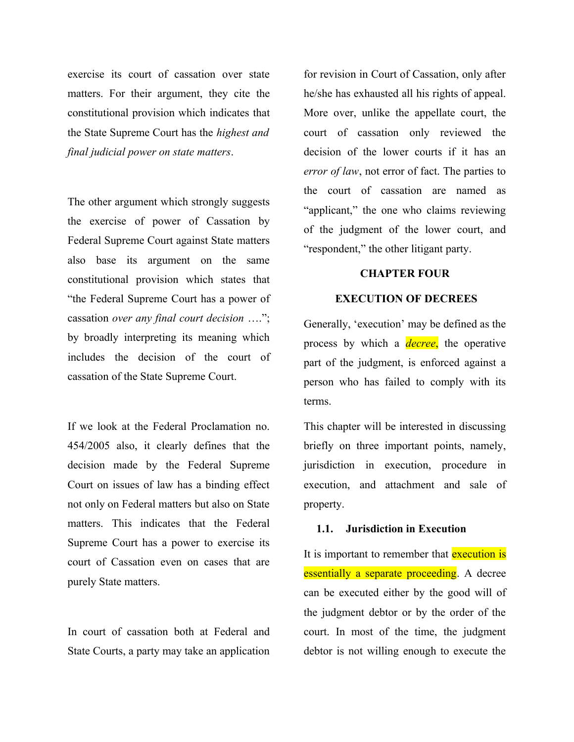exercise its court of cassation over state matters. For their argument, they cite the constitutional provision which indicates that the State Supreme Court has the *highest and final judicial power on state matters*.

The other argument which strongly suggests the exercise of power of Cassation by Federal Supreme Court against State matters also base its argument on the same constitutional provision which states that "the Federal Supreme Court has a power of cassation *over any final court decision* …."; by broadly interpreting its meaning which includes the decision of the court of cassation of the State Supreme Court.

If we look at the Federal Proclamation no. 454/2005 also, it clearly defines that the decision made by the Federal Supreme Court on issues of law has a binding effect not only on Federal matters but also on State matters. This indicates that the Federal Supreme Court has a power to exercise its court of Cassation even on cases that are purely State matters.

In court of cassation both at Federal and State Courts, a party may take an application for revision in Court of Cassation, only after he/she has exhausted all his rights of appeal. More over, unlike the appellate court, the court of cassation only reviewed the decision of the lower courts if it has an *error of law*, not error of fact. The parties to the court of cassation are named as "applicant," the one who claims reviewing of the judgment of the lower court, and "respondent," the other litigant party.

## **CHAPTER FOUR**

## **EXECUTION OF DECREES**

Generally, 'execution' may be defined as the process by which a *decree*, the operative part of the judgment, is enforced against a person who has failed to comply with its terms.

This chapter will be interested in discussing briefly on three important points, namely, jurisdiction in execution, procedure in execution, and attachment and sale of property.

#### **1.1. Jurisdiction in Execution**

It is important to remember that **execution is** essentially a separate proceeding. A decree can be executed either by the good will of the judgment debtor or by the order of the court. In most of the time, the judgment debtor is not willing enough to execute the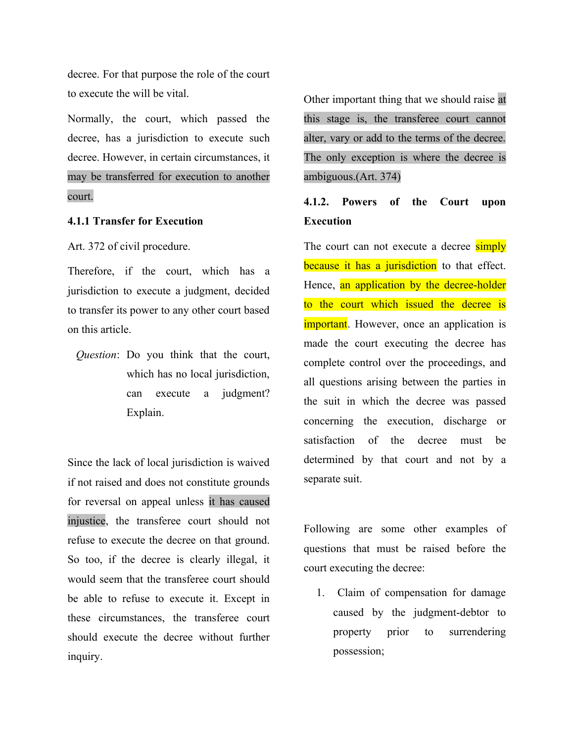decree. For that purpose the role of the court to execute the will be vital.

Normally, the court, which passed the decree, has a jurisdiction to execute such decree. However, in certain circumstances, it may be transferred for execution to another court.

## **4.1.1 Transfer for Execution**

Art. 372 of civil procedure.

Therefore, if the court, which has a jurisdiction to execute a judgment, decided to transfer its power to any other court based on this article.

*Question*: Do you think that the court, which has no local jurisdiction, can execute a judgment? Explain.

Since the lack of local jurisdiction is waived if not raised and does not constitute grounds for reversal on appeal unless it has caused injustice, the transferee court should not refuse to execute the decree on that ground. So too, if the decree is clearly illegal, it would seem that the transferee court should be able to refuse to execute it. Except in these circumstances, the transferee court should execute the decree without further inquiry.

Other important thing that we should raise at this stage is, the transferee court cannot alter, vary or add to the terms of the decree. The only exception is where the decree is ambiguous.(Art. 374)

# **4.1.2. Powers of the Court upon Execution**

The court can not execute a decree **simply** because it has a jurisdiction to that effect. Hence, an application by the decree-holder to the court which issued the decree is **important**. However, once an application is made the court executing the decree has complete control over the proceedings, and all questions arising between the parties in the suit in which the decree was passed concerning the execution, discharge or satisfaction of the decree must be determined by that court and not by a separate suit.

Following are some other examples of questions that must be raised before the court executing the decree:

1. Claim of compensation for damage caused by the judgment-debtor to property prior to surrendering possession;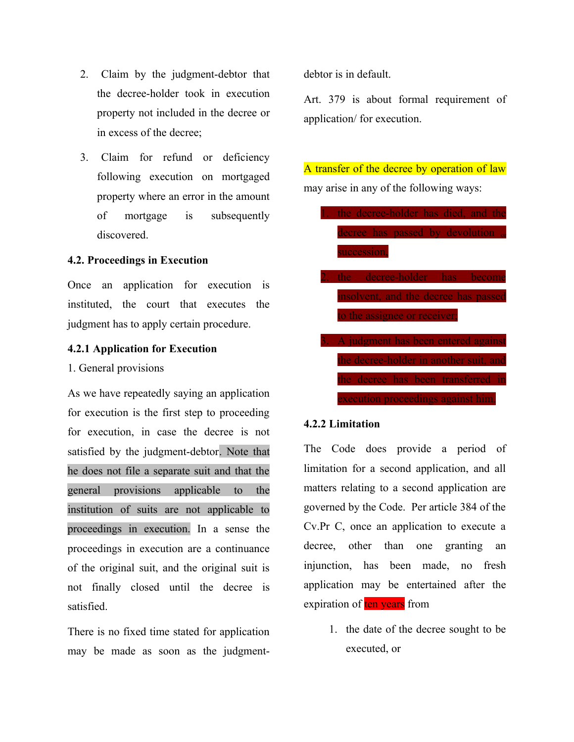- 2. Claim by the judgment-debtor that the decree-holder took in execution property not included in the decree or in excess of the decree;
- 3. Claim for refund or deficiency following execution on mortgaged property where an error in the amount of mortgage is subsequently discovered.

### **4.2. Proceedings in Execution**

Once an application for execution is instituted, the court that executes the judgment has to apply certain procedure.

# **4.2.1 Application for Execution**

1. General provisions

As we have repeatedly saying an application for execution is the first step to proceeding for execution, in case the decree is not satisfied by the judgment-debtor. Note that he does not file a separate suit and that the general provisions applicable to the institution of suits are not applicable to proceedings in execution. In a sense the proceedings in execution are a continuance of the original suit, and the original suit is not finally closed until the decree is satisfied.

There is no fixed time stated for application may be made as soon as the judgmentdebtor is in default.

Art. 379 is about formal requirement of application/ for execution.

A transfer of the decree by operation of law may arise in any of the following ways:

- the decree-holder has died, and the decree has passed by devolution succession,
- decree-holder has nsolvent, and the decree has passed to the assignee or receiver:
- A judgment has been entered against the decree-holder in another suit, and he decree has been transferred in execution proceedings against him.

# **4.2.2 Limitation**

The Code does provide a period of limitation for a second application, and all matters relating to a second application are governed by the Code. Per article 384 of the Cv.Pr C, once an application to execute a decree, other than one granting an injunction, has been made, no fresh application may be entertained after the expiration of ten years from

> 1. the date of the decree sought to be executed, or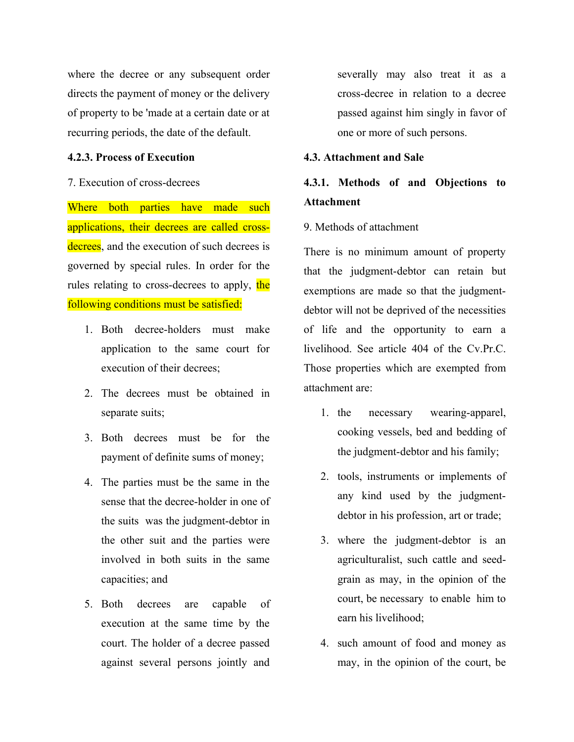where the decree or any subsequent order directs the payment of money or the delivery of property to be 'made at a certain date or at recurring periods, the date of the default.

# **4.2.3. Process of Execution**

# 7. Execution of cross-decrees

Where both parties have made such applications, their decrees are called crossdecrees, and the execution of such decrees is governed by special rules. In order for the rules relating to cross-decrees to apply, the following conditions must be satisfied:

- 1. Both decree-holders must make application to the same court for execution of their decrees;
- 2. The decrees must be obtained in separate suits;
- 3. Both decrees must be for the payment of definite sums of money;
- 4. The parties must be the same in the sense that the decree-holder in one of the suits was the judgment-debtor in the other suit and the parties were involved in both suits in the same capacities; and
- 5. Both decrees are capable of execution at the same time by the court. The holder of a decree passed against several persons jointly and

severally may also treat it as a cross-decree in relation to a decree passed against him singly in favor of one or more of such persons.

## **4.3. Attachment and Sale**

# **4.3.1. Methods of and Objections to Attachment**

# 9. Methods of attachment

There is no minimum amount of property that the judgment-debtor can retain but exemptions are made so that the judgmentdebtor will not be deprived of the necessities of life and the opportunity to earn a livelihood. See article 404 of the Cv.Pr.C. Those properties which are exempted from attachment are:

- 1. the necessary wearing-apparel, cooking vessels, bed and bedding of the judgment-debtor and his family;
- 2. tools, instruments or implements of any kind used by the judgmentdebtor in his profession, art or trade;
- 3. where the judgment-debtor is an agriculturalist, such cattle and seedgrain as may, in the opinion of the court, be necessary to enable him to earn his livelihood;
- 4. such amount of food and money as may, in the opinion of the court, be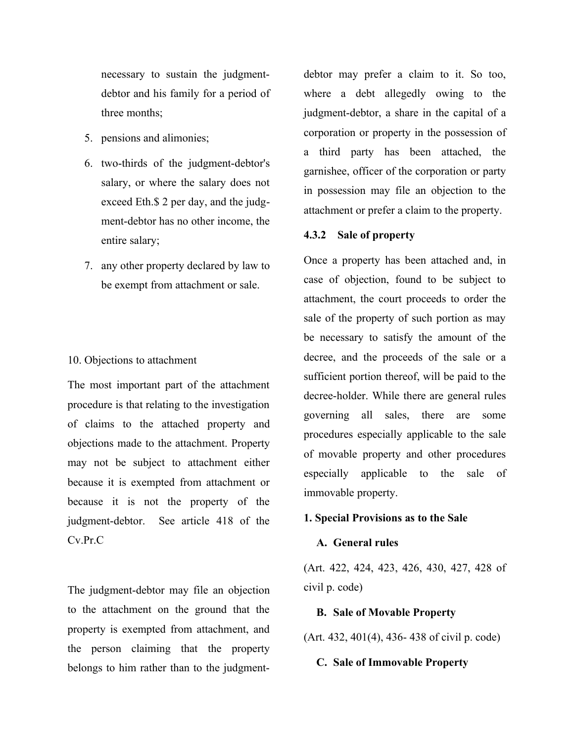necessary to sustain the judgmentdebtor and his family for a period of three months;

- 5. pensions and alimonies;
- 6. two-thirds of the judgment-debtor's salary, or where the salary does not exceed Eth.\$ 2 per day, and the judgment-debtor has no other income, the entire salary;
- 7. any other property declared by law to be exempt from attachment or sale.

### 10. Objections to attachment

The most important part of the attachment procedure is that relating to the investigation of claims to the attached property and objections made to the attachment. Property may not be subject to attachment either because it is exempted from attachment or because it is not the property of the judgment-debtor. See article 418 of the Cv.Pr.C

The judgment-debtor may file an objection to the attachment on the ground that the property is exempted from attachment, and the person claiming that the property belongs to him rather than to the judgment-

debtor may prefer a claim to it. So too, where a debt allegedly owing to the judgment-debtor, a share in the capital of a corporation or property in the possession of a third party has been attached, the garnishee, officer of the corporation or party in possession may file an objection to the attachment or prefer a claim to the property.

#### **4.3.2 Sale of property**

Once a property has been attached and, in case of objection, found to be subject to attachment, the court proceeds to order the sale of the property of such portion as may be necessary to satisfy the amount of the decree, and the proceeds of the sale or a sufficient portion thereof, will be paid to the decree-holder. While there are general rules governing all sales, there are some procedures especially applicable to the sale of movable property and other procedures especially applicable to the sale of immovable property.

# **1. Special Provisions as to the Sale**

## **A. General rules**

(Art. 422, 424, 423, 426, 430, 427, 428 of civil p. code)

#### **B. Sale of Movable Property**

(Art. 432, 401(4), 436- 438 of civil p. code)

## **C. Sale of Immovable Property**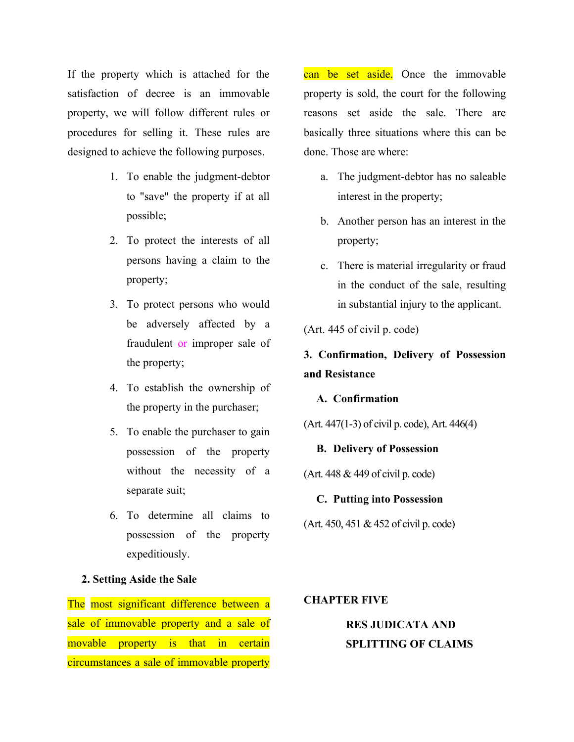If the property which is attached for the satisfaction of decree is an immovable property, we will follow different rules or procedures for selling it. These rules are designed to achieve the following purposes.

- 1. To enable the judgment-debtor to "save" the property if at all possible;
- 2. To protect the interests of all persons having a claim to the property;
- 3. To protect persons who would be adversely affected by a fraudulent or improper sale of the property;
- 4. To establish the ownership of the property in the purchaser;
- 5. To enable the purchaser to gain possession of the property without the necessity of a separate suit;
- 6. To determine all claims to possession of the property expeditiously.

## **2. Setting Aside the Sale**

The most significant difference between a sale of immovable property and a sale of movable property is that in certain circumstances a sale of immovable property

can be set aside. Once the immovable property is sold, the court for the following reasons set aside the sale. There are basically three situations where this can be done. Those are where:

- a. The judgment-debtor has no saleable interest in the property;
- b. Another person has an interest in the property;
- c. There is material irregularity or fraud in the conduct of the sale, resulting in substantial injury to the applicant.

(Art. 445 of civil p. code)

# **3. Confirmation, Delivery of Possession and Resistance**

#### **A. Confirmation**

(Art. 447(1-3) of civil p. code), Art. 446(4)

## **B. Delivery of Possession**

(Art. 448 & 449 of civil p. code)

#### **C. Putting into Possession**

(Art. 450, 451 & 452 of civil p. code)

## **CHAPTER FIVE**

# **RES JUDICATA AND SPLITTING OF CLAIMS**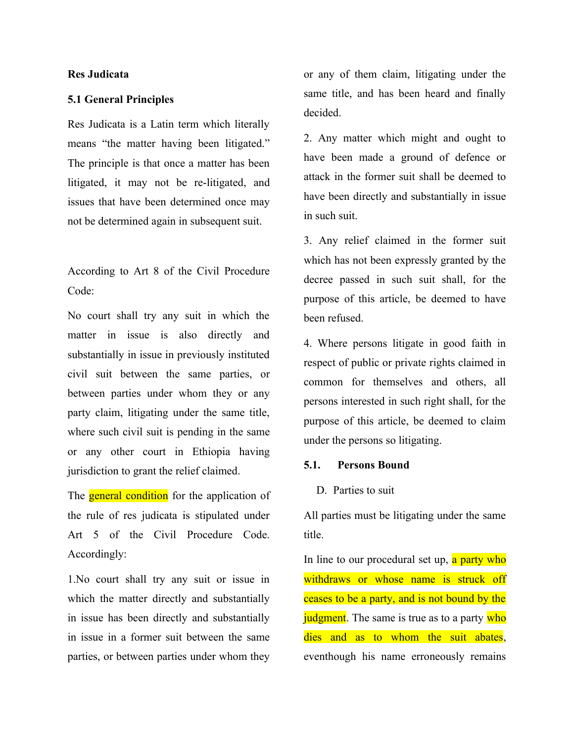## **Res Judicata**

## **5.1 General Principles**

Res Judicata is a Latin term which literally means "the matter having been litigated." The principle is that once a matter has been litigated, it may not be re-litigated, and issues that have been determined once may not be determined again in subsequent suit.

According to Art 8 of the Civil Procedure Code:

No court shall try any suit in which the matter in issue is also directly and substantially in issue in previously instituted civil suit between the same parties, or between parties under whom they or any party claim, litigating under the same title, where such civil suit is pending in the same or any other court in Ethiopia having jurisdiction to grant the relief claimed.

The **general condition** for the application of the rule of res judicata is stipulated under Art 5 of the Civil Procedure Code. Accordingly:

1.No court shall try any suit or issue in which the matter directly and substantially in issue has been directly and substantially in issue in a former suit between the same parties, or between parties under whom they or any of them claim, litigating under the same title, and has been heard and finally decided.

2. Any matter which might and ought to have been made a ground of defence or attack in the former suit shall be deemed to have been directly and substantially in issue in such suit.

3. Any relief claimed in the former suit which has not been expressly granted by the decree passed in such suit shall, for the purpose of this article, be deemed to have been refused.

4. Where persons litigate in good faith in respect of public or private rights claimed in common for themselves and others, all persons interested in such right shall, for the purpose of this article, be deemed to claim under the persons so litigating.

## **5.1. Persons Bound**

#### D. Parties to suit

All parties must be litigating under the same title.

In line to our procedural set up, a party who withdraws or whose name is struck off ceases to be a party, and is not bound by the judgment. The same is true as to a party who dies and as to whom the suit abates, eventhough his name erroneously remains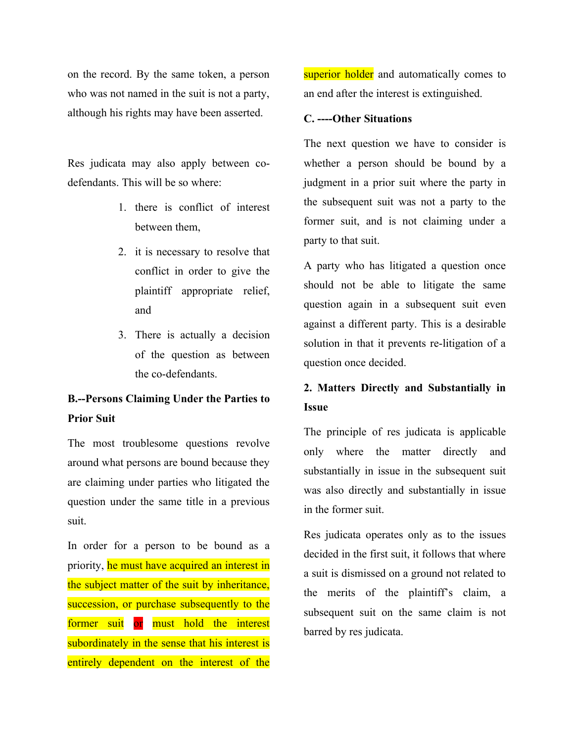on the record. By the same token, a person who was not named in the suit is not a party, although his rights may have been asserted.

Res judicata may also apply between codefendants. This will be so where:

- 1. there is conflict of interest between them,
- 2. it is necessary to resolve that conflict in order to give the plaintiff appropriate relief, and
- 3. There is actually a decision of the question as between the co-defendants.

# **B.--Persons Claiming Under the Parties to Prior Suit**

The most troublesome questions revolve around what persons are bound because they are claiming under parties who litigated the question under the same title in a previous suit.

In order for a person to be bound as a priority, he must have acquired an interest in the subject matter of the suit by inheritance, succession, or purchase subsequently to the former suit or must hold the interest subordinately in the sense that his interest is entirely dependent on the interest of the

superior holder and automatically comes to an end after the interest is extinguished.

#### **C. ----Other Situations**

The next question we have to consider is whether a person should be bound by a judgment in a prior suit where the party in the subsequent suit was not a party to the former suit, and is not claiming under a party to that suit.

A party who has litigated a question once should not be able to litigate the same question again in a subsequent suit even against a different party. This is a desirable solution in that it prevents re-litigation of a question once decided.

# **2. Matters Directly and Substantially in Issue**

The principle of res judicata is applicable only where the matter directly and substantially in issue in the subsequent suit was also directly and substantially in issue in the former suit.

Res judicata operates only as to the issues decided in the first suit, it follows that where a suit is dismissed on a ground not related to the merits of the plaintiff's claim, a subsequent suit on the same claim is not barred by res judicata.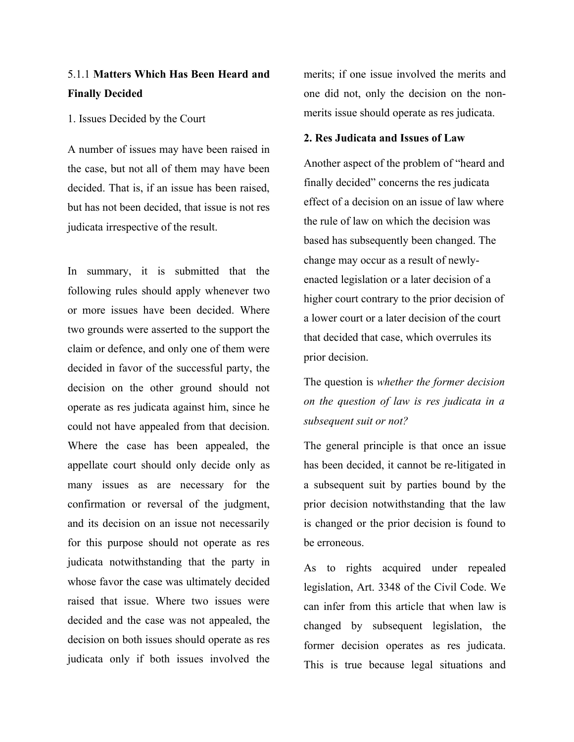# 5.1.1 **Matters Which Has Been Heard and Finally Decided**

1. Issues Decided by the Court

A number of issues may have been raised in the case, but not all of them may have been decided. That is, if an issue has been raised, but has not been decided, that issue is not res judicata irrespective of the result.

In summary, it is submitted that the following rules should apply whenever two or more issues have been decided. Where two grounds were asserted to the support the claim or defence, and only one of them were decided in favor of the successful party, the decision on the other ground should not operate as res judicata against him, since he could not have appealed from that decision. Where the case has been appealed, the appellate court should only decide only as many issues as are necessary for the confirmation or reversal of the judgment, and its decision on an issue not necessarily for this purpose should not operate as res judicata notwithstanding that the party in whose favor the case was ultimately decided raised that issue. Where two issues were decided and the case was not appealed, the decision on both issues should operate as res judicata only if both issues involved the

merits; if one issue involved the merits and one did not, only the decision on the nonmerits issue should operate as res judicata.

### **2. Res Judicata and Issues of Law**

Another aspect of the problem of "heard and finally decided" concerns the res judicata effect of a decision on an issue of law where the rule of law on which the decision was based has subsequently been changed. The change may occur as a result of newlyenacted legislation or a later decision of a higher court contrary to the prior decision of a lower court or a later decision of the court that decided that case, which overrules its prior decision.

The question is *whether the former decision on the question of law is res judicata in a subsequent suit or not?*

The general principle is that once an issue has been decided, it cannot be re-litigated in a subsequent suit by parties bound by the prior decision notwithstanding that the law is changed or the prior decision is found to be erroneous.

As to rights acquired under repealed legislation, Art. 3348 of the Civil Code. We can infer from this article that when law is changed by subsequent legislation, the former decision operates as res judicata. This is true because legal situations and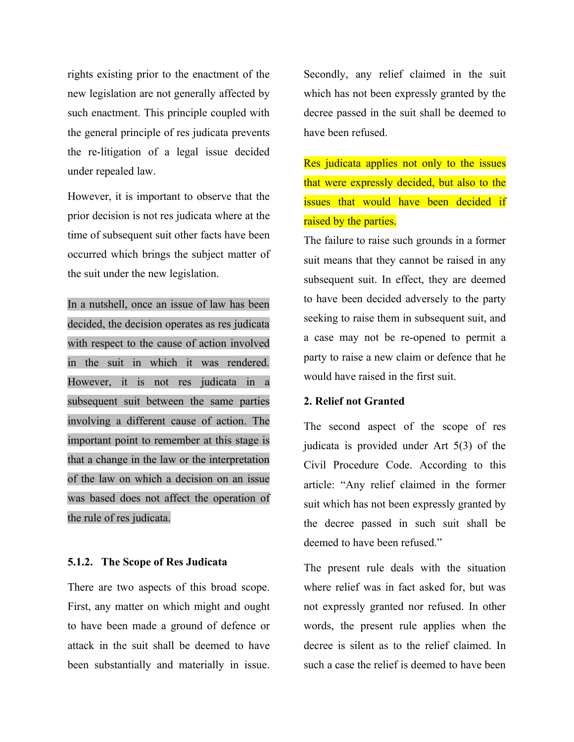rights existing prior to the enactment of the new legislation are not generally affected by such enactment. This principle coupled with the general principle of res judicata prevents the re-litigation of a legal issue decided under repealed law.

However, it is important to observe that the prior decision is not res judicata where at the time of subsequent suit other facts have been occurred which brings the subject matter of the suit under the new legislation.

In a nutshell, once an issue of law has been decided, the decision operates as res judicata with respect to the cause of action involved in the suit in which it was rendered. However, it is not res judicata in a subsequent suit between the same parties involving a different cause of action. The important point to remember at this stage is that a change in the law or the interpretation of the law on which a decision on an issue was based does not affect the operation of the rule of res judicata.

## **5.1.2. The Scope of Res Judicata**

There are two aspects of this broad scope. First, any matter on which might and ought to have been made a ground of defence or attack in the suit shall be deemed to have been substantially and materially in issue.

Secondly, any relief claimed in the suit which has not been expressly granted by the decree passed in the suit shall be deemed to have been refused.

Res judicata applies not only to the issues that were expressly decided, but also to the issues that would have been decided if raised by the parties.

The failure to raise such grounds in a former suit means that they cannot be raised in any subsequent suit. In effect, they are deemed to have been decided adversely to the party seeking to raise them in subsequent suit, and a case may not be re-opened to permit a party to raise a new claim or defence that he would have raised in the first suit.

# **2. Relief not Granted**

The second aspect of the scope of res judicata is provided under Art 5(3) of the Civil Procedure Code. According to this article: "Any relief claimed in the former suit which has not been expressly granted by the decree passed in such suit shall be deemed to have been refused."

The present rule deals with the situation where relief was in fact asked for, but was not expressly granted nor refused. In other words, the present rule applies when the decree is silent as to the relief claimed. In such a case the relief is deemed to have been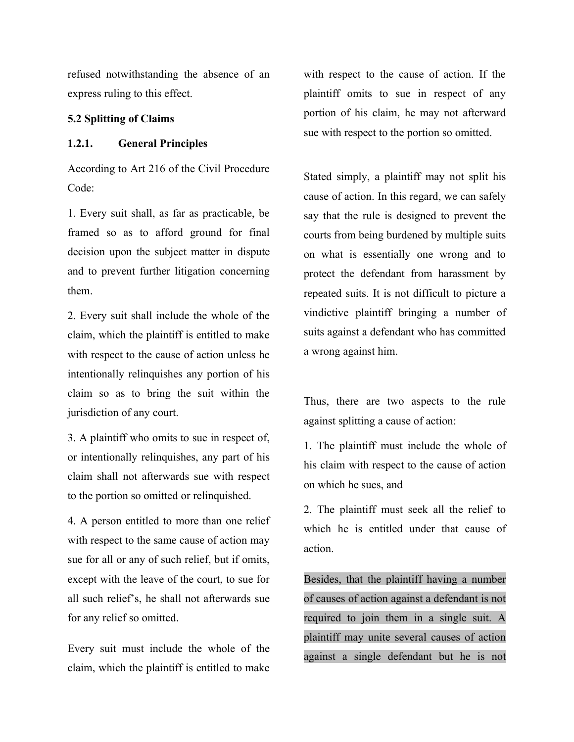refused notwithstanding the absence of an express ruling to this effect.

### **5.2 Splitting of Claims**

## **1.2.1. General Principles**

According to Art 216 of the Civil Procedure Code:

1. Every suit shall, as far as practicable, be framed so as to afford ground for final decision upon the subject matter in dispute and to prevent further litigation concerning them.

2. Every suit shall include the whole of the claim, which the plaintiff is entitled to make with respect to the cause of action unless he intentionally relinquishes any portion of his claim so as to bring the suit within the jurisdiction of any court.

3. A plaintiff who omits to sue in respect of, or intentionally relinquishes, any part of his claim shall not afterwards sue with respect to the portion so omitted or relinquished.

4. A person entitled to more than one relief with respect to the same cause of action may sue for all or any of such relief, but if omits, except with the leave of the court, to sue for all such relief's, he shall not afterwards sue for any relief so omitted.

Every suit must include the whole of the claim, which the plaintiff is entitled to make with respect to the cause of action. If the plaintiff omits to sue in respect of any portion of his claim, he may not afterward sue with respect to the portion so omitted.

Stated simply, a plaintiff may not split his cause of action. In this regard, we can safely say that the rule is designed to prevent the courts from being burdened by multiple suits on what is essentially one wrong and to protect the defendant from harassment by repeated suits. It is not difficult to picture a vindictive plaintiff bringing a number of suits against a defendant who has committed a wrong against him.

Thus, there are two aspects to the rule against splitting a cause of action:

1. The plaintiff must include the whole of his claim with respect to the cause of action on which he sues, and

2. The plaintiff must seek all the relief to which he is entitled under that cause of action.

Besides, that the plaintiff having a number of causes of action against a defendant is not required to join them in a single suit. A plaintiff may unite several causes of action against a single defendant but he is not